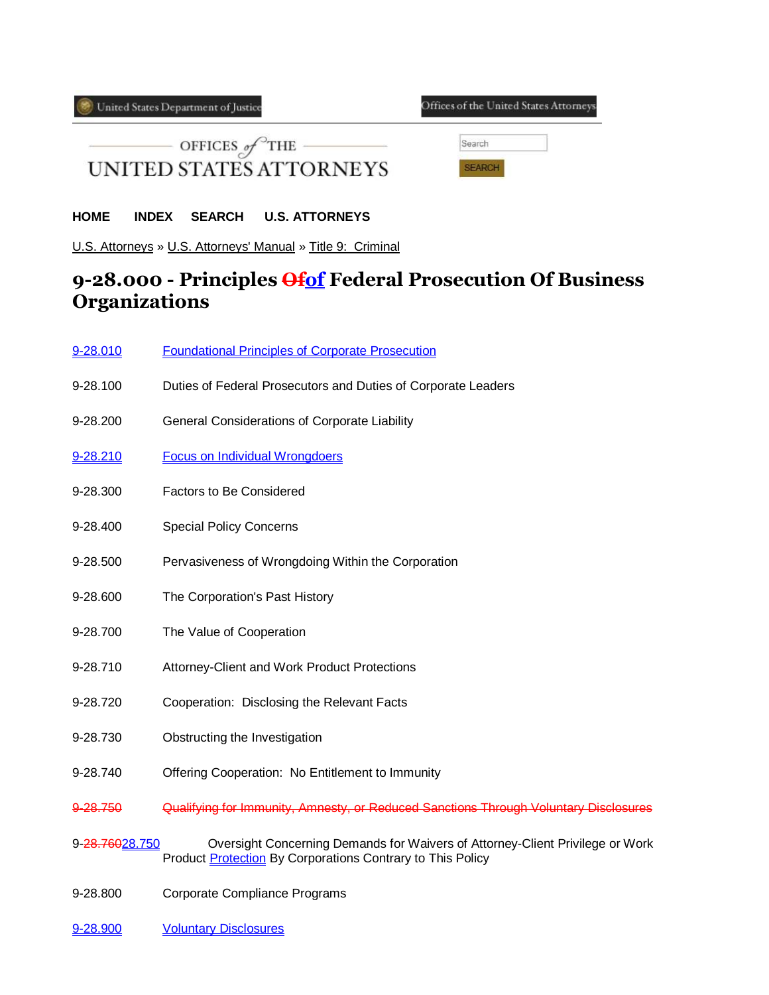| <b>D</b> United States Department of Justice | Offices of the United States Attorneys |  |
|----------------------------------------------|----------------------------------------|--|
| OFFICES of THE                               | Search                                 |  |
| UNITED STATES ATTORNEYS                      | <b>SEARCH</b>                          |  |

**HOME INDEX SEARCH U.S. ATTORNEYS** 

U.S. Attorneys » U.S. Attorneys' Manual » Title 9: Criminal

# 9-28.000 - Principles  $\Theta$ fof Federal Prosecution Of Business **Organizations**

| 9-28.010            | <b>Foundational Principles of Corporate Prosecution</b>                                                                                     |
|---------------------|---------------------------------------------------------------------------------------------------------------------------------------------|
| 9-28.100            | Duties of Federal Prosecutors and Duties of Corporate Leaders                                                                               |
| 9-28.200            | General Considerations of Corporate Liability                                                                                               |
| 9-28.210            | <b>Focus on Individual Wrongdoers</b>                                                                                                       |
| 9-28.300            | <b>Factors to Be Considered</b>                                                                                                             |
| 9-28.400            | <b>Special Policy Concerns</b>                                                                                                              |
| 9-28.500            | Pervasiveness of Wrongdoing Within the Corporation                                                                                          |
| 9-28.600            | The Corporation's Past History                                                                                                              |
| 9-28.700            | The Value of Cooperation                                                                                                                    |
| 9-28.710            | Attorney-Client and Work Product Protections                                                                                                |
| 9-28.720            | Cooperation: Disclosing the Relevant Facts                                                                                                  |
| 9-28.730            | Obstructing the Investigation                                                                                                               |
| 9-28.740            | Offering Cooperation: No Entitlement to Immunity                                                                                            |
| <del>9-28.750</del> | Qualifying for Immunity, Amnesty, or Reduced Sanctions Through Voluntary Disclosures                                                        |
| 9-28.76028.750      | Oversight Concerning Demands for Waivers of Attorney-Client Privilege or Work<br>Product Protection By Corporations Contrary to This Policy |
| 9-28.800            | Corporate Compliance Programs                                                                                                               |
| 9-28.900            | <b>Voluntary Disclosures</b>                                                                                                                |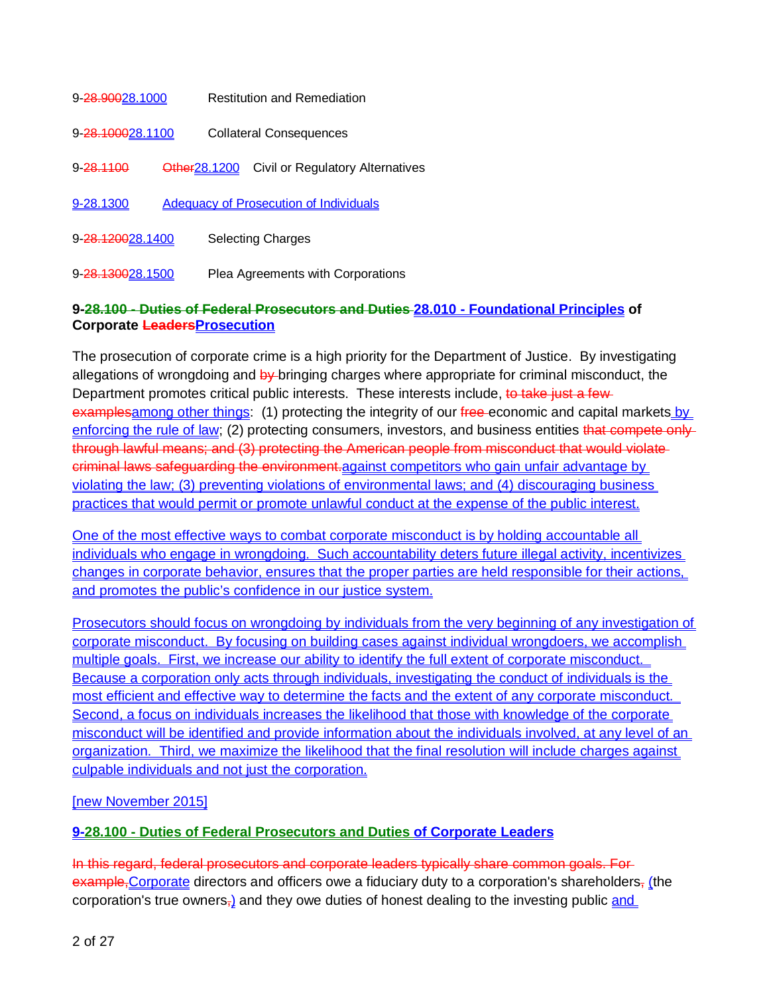| 9-28.90028.1000               | <b>Restitution and Remediation</b>               |  |  |
|-------------------------------|--------------------------------------------------|--|--|
| 9- <del>28.100028</del> .1100 | <b>Collateral Consequences</b>                   |  |  |
| $9 - 28.1100$                 | Other28.1200<br>Civil or Regulatory Alternatives |  |  |
| 9-28.1300                     | <b>Adequacy of Prosecution of Individuals</b>    |  |  |
| 9-28.120028.1400              | <b>Selecting Charges</b>                         |  |  |
| 9- <del>28.130028</del> .1500 | Plea Agreements with Corporations                |  |  |

## **9-28.100 - Duties of Federal Prosecutors and Duties 28.010 - Foundational Principles of Corporate LeadersProsecution**

The prosecution of corporate crime is a high priority for the Department of Justice. By investigating allegations of wrongdoing and by bringing charges where appropriate for criminal misconduct, the Department promotes critical public interests. These interests include, to take just a fewexamplesamong other things: (1) protecting the integrity of our free economic and capital markets by enforcing the rule of law; (2) protecting consumers, investors, and business entities that compete onlythrough lawful means; and (3) protecting the American people from misconduct that would violate criminal laws safeguarding the environment.against competitors who gain unfair advantage by violating the law; (3) preventing violations of environmental laws; and (4) discouraging business practices that would permit or promote unlawful conduct at the expense of the public interest.

One of the most effective ways to combat corporate misconduct is by holding accountable all individuals who engage in wrongdoing. Such accountability deters future illegal activity, incentivizes changes in corporate behavior, ensures that the proper parties are held responsible for their actions, and promotes the public's confidence in our justice system.

Prosecutors should focus on wrongdoing by individuals from the very beginning of any investigation of corporate misconduct. By focusing on building cases against individual wrongdoers, we accomplish multiple goals. First, we increase our ability to identify the full extent of corporate misconduct. Because a corporation only acts through individuals, investigating the conduct of individuals is the most efficient and effective way to determine the facts and the extent of any corporate misconduct. Second, a focus on individuals increases the likelihood that those with knowledge of the corporate misconduct will be identified and provide information about the individuals involved, at any level of an organization. Third, we maximize the likelihood that the final resolution will include charges against culpable individuals and not just the corporation.

## [new November 2015]

## **9-28.100 - Duties of Federal Prosecutors and Duties of Corporate Leaders**

In this regard, federal prosecutors and corporate leaders typically share common goals. For example, Corporate directors and officers owe a fiduciary duty to a corporation's shareholders, *the* corporation's true owners, and they owe duties of honest dealing to the investing public and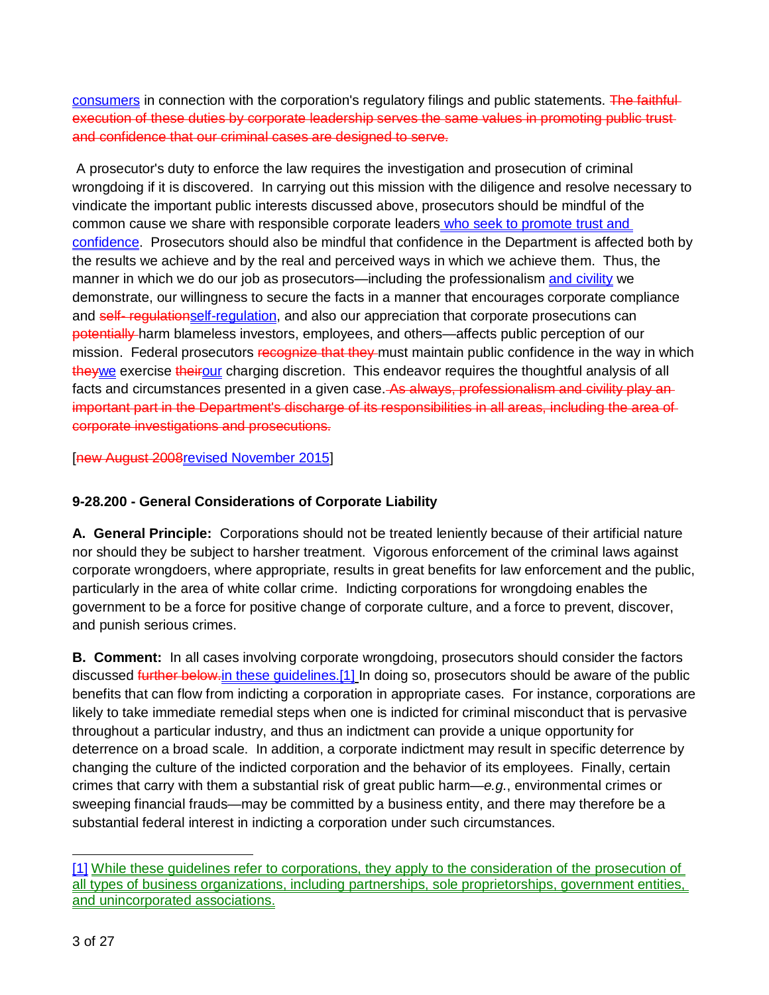consumers in connection with the corporation's regulatory filings and public statements. The faithfulexecution of these duties by corporate leadership serves the same values in promoting public trust and confidence that our criminal cases are designed to serve.

 A prosecutor's duty to enforce the law requires the investigation and prosecution of criminal wrongdoing if it is discovered. In carrying out this mission with the diligence and resolve necessary to vindicate the important public interests discussed above, prosecutors should be mindful of the common cause we share with responsible corporate leaders who seek to promote trust and confidence. Prosecutors should also be mindful that confidence in the Department is affected both by the results we achieve and by the real and perceived ways in which we achieve them. Thus, the manner in which we do our job as prosecutors—including the professionalism and civility we demonstrate, our willingness to secure the facts in a manner that encourages corporate compliance and self-regulationself-regulation, and also our appreciation that corporate prosecutions can potentially harm blameless investors, employees, and others—affects public perception of our mission. Federal prosecutors recognize that they must maintain public confidence in the way in which theywe exercise theirour charging discretion. This endeavor requires the thoughtful analysis of all facts and circumstances presented in a given case. As always, professionalism and civility play an important part in the Department's discharge of its responsibilities in all areas, including the area of corporate investigations and prosecutions.

[new August 2008revised November 2015]

## **9-28.200 - General Considerations of Corporate Liability**

**A. General Principle:** Corporations should not be treated leniently because of their artificial nature nor should they be subject to harsher treatment. Vigorous enforcement of the criminal laws against corporate wrongdoers, where appropriate, results in great benefits for law enforcement and the public, particularly in the area of white collar crime. Indicting corporations for wrongdoing enables the government to be a force for positive change of corporate culture, and a force to prevent, discover, and punish serious crimes.

**B. Comment:** In all cases involving corporate wrongdoing, prosecutors should consider the factors discussed further below.in these guidelines.<sup>[1]</sup> In doing so, prosecutors should be aware of the public benefits that can flow from indicting a corporation in appropriate cases. For instance, corporations are likely to take immediate remedial steps when one is indicted for criminal misconduct that is pervasive throughout a particular industry, and thus an indictment can provide a unique opportunity for deterrence on a broad scale. In addition, a corporate indictment may result in specific deterrence by changing the culture of the indicted corporation and the behavior of its employees. Finally, certain crimes that carry with them a substantial risk of great public harm—e.g., environmental crimes or sweeping financial frauds—may be committed by a business entity, and there may therefore be a substantial federal interest in indicting a corporation under such circumstances.

<sup>[1]</sup> While these guidelines refer to corporations, they apply to the consideration of the prosecution of all types of business organizations, including partnerships, sole proprietorships, government entities, and unincorporated associations.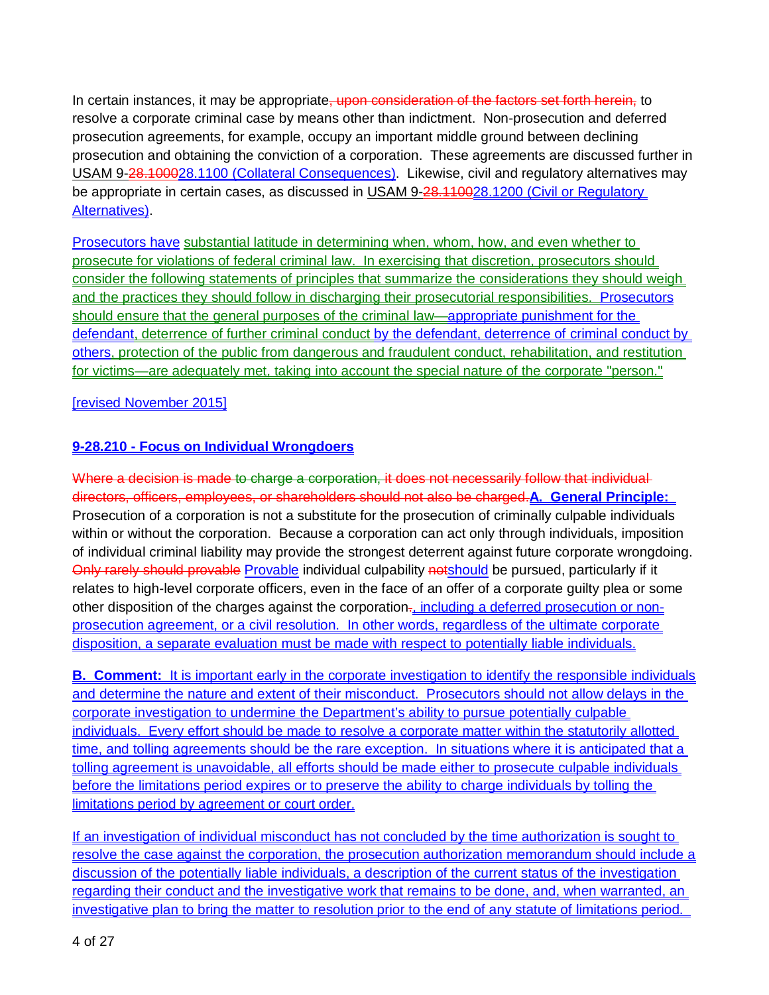In certain instances, it may be appropriate, upon consideration of the factors set forth herein, to resolve a corporate criminal case by means other than indictment. Non-prosecution and deferred prosecution agreements, for example, occupy an important middle ground between declining prosecution and obtaining the conviction of a corporation. These agreements are discussed further in USAM 9-28.100028.1100 (Collateral Consequences). Likewise, civil and regulatory alternatives may be appropriate in certain cases, as discussed in USAM 9-28.110028.1200 (Civil or Regulatory Alternatives).

Prosecutors have substantial latitude in determining when, whom, how, and even whether to prosecute for violations of federal criminal law. In exercising that discretion, prosecutors should consider the following statements of principles that summarize the considerations they should weigh and the practices they should follow in discharging their prosecutorial responsibilities. Prosecutors should ensure that the general purposes of the criminal law—appropriate punishment for the defendant, deterrence of further criminal conduct by the defendant, deterrence of criminal conduct by others, protection of the public from dangerous and fraudulent conduct, rehabilitation, and restitution for victims—are adequately met, taking into account the special nature of the corporate "person."

[revised November 2015]

## **9-28.210 - Focus on Individual Wrongdoers**

Where a decision is made to charge a corporation, it does not necessarily follow that individual directors, officers, employees, or shareholders should not also be charged.**A. General Principle:**  Prosecution of a corporation is not a substitute for the prosecution of criminally culpable individuals within or without the corporation. Because a corporation can act only through individuals, imposition of individual criminal liability may provide the strongest deterrent against future corporate wrongdoing. Only rarely should provable Provable individual culpability not should be pursued, particularly if it relates to high-level corporate officers, even in the face of an offer of a corporate guilty plea or some other disposition of the charges against the corporation. including a deferred prosecution or nonprosecution agreement, or a civil resolution. In other words, regardless of the ultimate corporate disposition, a separate evaluation must be made with respect to potentially liable individuals.

**B. Comment:** It is important early in the corporate investigation to identify the responsible individuals and determine the nature and extent of their misconduct. Prosecutors should not allow delays in the corporate investigation to undermine the Department's ability to pursue potentially culpable individuals. Every effort should be made to resolve a corporate matter within the statutorily allotted time, and tolling agreements should be the rare exception. In situations where it is anticipated that a tolling agreement is unavoidable, all efforts should be made either to prosecute culpable individuals before the limitations period expires or to preserve the ability to charge individuals by tolling the limitations period by agreement or court order.

If an investigation of individual misconduct has not concluded by the time authorization is sought to resolve the case against the corporation, the prosecution authorization memorandum should include a discussion of the potentially liable individuals, a description of the current status of the investigation regarding their conduct and the investigative work that remains to be done, and, when warranted, an investigative plan to bring the matter to resolution prior to the end of any statute of limitations period.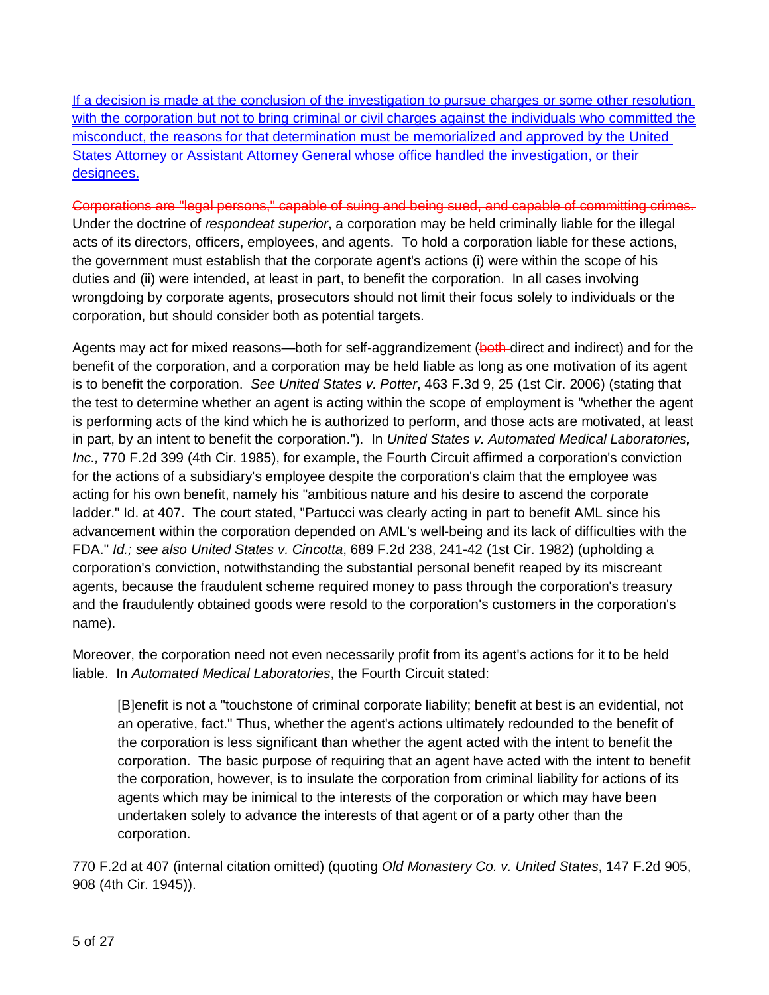If a decision is made at the conclusion of the investigation to pursue charges or some other resolution with the corporation but not to bring criminal or civil charges against the individuals who committed the misconduct, the reasons for that determination must be memorialized and approved by the United States Attorney or Assistant Attorney General whose office handled the investigation, or their designees.

Corporations are "legal persons," capable of suing and being sued, and capable of committing crimes. Under the doctrine of respondeat superior, a corporation may be held criminally liable for the illegal acts of its directors, officers, employees, and agents. To hold a corporation liable for these actions, the government must establish that the corporate agent's actions (i) were within the scope of his duties and (ii) were intended, at least in part, to benefit the corporation. In all cases involving wrongdoing by corporate agents, prosecutors should not limit their focus solely to individuals or the corporation, but should consider both as potential targets.

Agents may act for mixed reasons—both for self-aggrandizement (both-direct and indirect) and for the benefit of the corporation, and a corporation may be held liable as long as one motivation of its agent is to benefit the corporation. See United States v. Potter, 463 F.3d 9, 25 (1st Cir. 2006) (stating that the test to determine whether an agent is acting within the scope of employment is "whether the agent is performing acts of the kind which he is authorized to perform, and those acts are motivated, at least in part, by an intent to benefit the corporation."). In United States v. Automated Medical Laboratories, Inc., 770 F.2d 399 (4th Cir. 1985), for example, the Fourth Circuit affirmed a corporation's conviction for the actions of a subsidiary's employee despite the corporation's claim that the employee was acting for his own benefit, namely his "ambitious nature and his desire to ascend the corporate ladder." Id. at 407. The court stated, "Partucci was clearly acting in part to benefit AML since his advancement within the corporation depended on AML's well-being and its lack of difficulties with the FDA." Id.; see also United States v. Cincotta, 689 F.2d 238, 241-42 (1st Cir. 1982) (upholding a corporation's conviction, notwithstanding the substantial personal benefit reaped by its miscreant agents, because the fraudulent scheme required money to pass through the corporation's treasury and the fraudulently obtained goods were resold to the corporation's customers in the corporation's name).

Moreover, the corporation need not even necessarily profit from its agent's actions for it to be held liable. In Automated Medical Laboratories, the Fourth Circuit stated:

[B]enefit is not a "touchstone of criminal corporate liability; benefit at best is an evidential, not an operative, fact." Thus, whether the agent's actions ultimately redounded to the benefit of the corporation is less significant than whether the agent acted with the intent to benefit the corporation. The basic purpose of requiring that an agent have acted with the intent to benefit the corporation, however, is to insulate the corporation from criminal liability for actions of its agents which may be inimical to the interests of the corporation or which may have been undertaken solely to advance the interests of that agent or of a party other than the corporation.

770 F.2d at 407 (internal citation omitted) (quoting Old Monastery Co. v. United States, 147 F.2d 905, 908 (4th Cir. 1945)).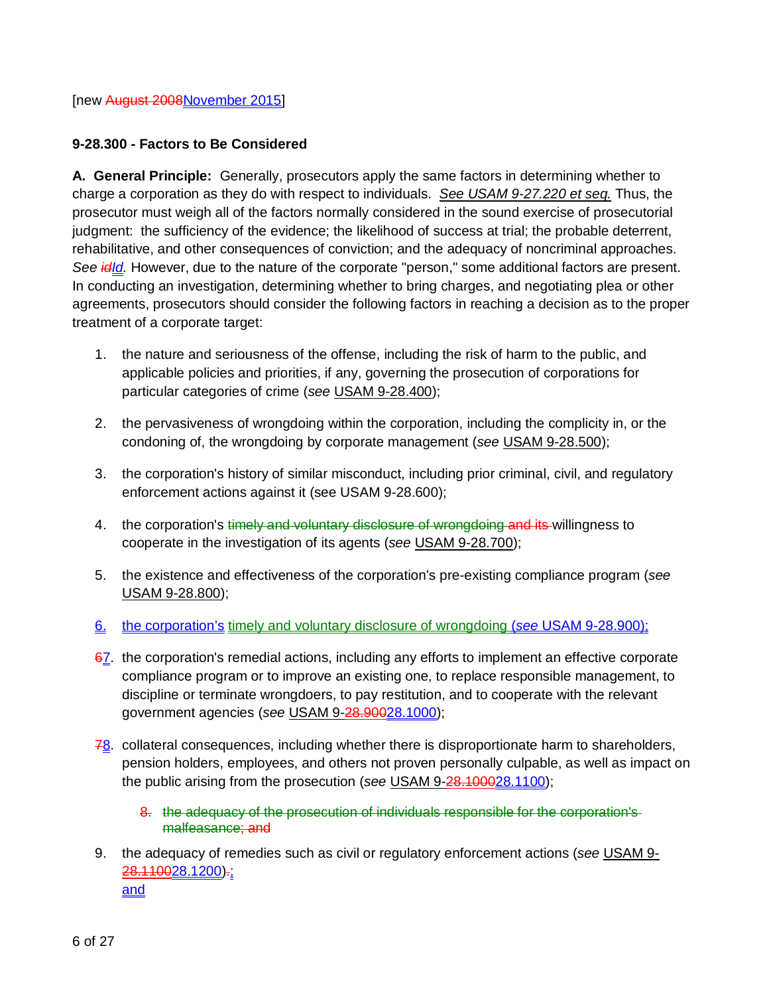[new August 2008November 2015]

### **9-28.300 - Factors to Be Considered**

**A. General Principle:** Generally, prosecutors apply the same factors in determining whether to charge a corporation as they do with respect to individuals. See USAM 9-27.220 et seq. Thus, the prosecutor must weigh all of the factors normally considered in the sound exercise of prosecutorial judgment: the sufficiency of the evidence; the likelihood of success at trial; the probable deterrent, rehabilitative, and other consequences of conviction; and the adequacy of noncriminal approaches. See *idId*. However, due to the nature of the corporate "person," some additional factors are present. In conducting an investigation, determining whether to bring charges, and negotiating plea or other agreements, prosecutors should consider the following factors in reaching a decision as to the proper treatment of a corporate target:

- 1. the nature and seriousness of the offense, including the risk of harm to the public, and applicable policies and priorities, if any, governing the prosecution of corporations for particular categories of crime (see USAM 9-28.400);
- 2. the pervasiveness of wrongdoing within the corporation, including the complicity in, or the condoning of, the wrongdoing by corporate management (see USAM 9-28.500);
- 3. the corporation's history of similar misconduct, including prior criminal, civil, and regulatory enforcement actions against it (see USAM 9-28.600);
- 4. the corporation's timely and voluntary disclosure of wrongdoing and its willingness to cooperate in the investigation of its agents (see USAM 9-28.700);
- 5. the existence and effectiveness of the corporation's pre-existing compliance program (see USAM 9-28.800);
- 6. the corporation's timely and voluntary disclosure of wrongdoing (see USAM 9-28.900);
- 67. the corporation's remedial actions, including any efforts to implement an effective corporate compliance program or to improve an existing one, to replace responsible management, to discipline or terminate wrongdoers, to pay restitution, and to cooperate with the relevant government agencies (see USAM 9-28.90028.1000);
- 78. collateral consequences, including whether there is disproportionate harm to shareholders, pension holders, employees, and others not proven personally culpable, as well as impact on the public arising from the prosecution (see USAM 9-28.100028.1100);
	- 8. the adequacy of the prosecution of individuals responsible for the corporation's malfeasance; and
- 9. the adequacy of remedies such as civil or regulatory enforcement actions (see USAM 9- 28.110028.1200).; and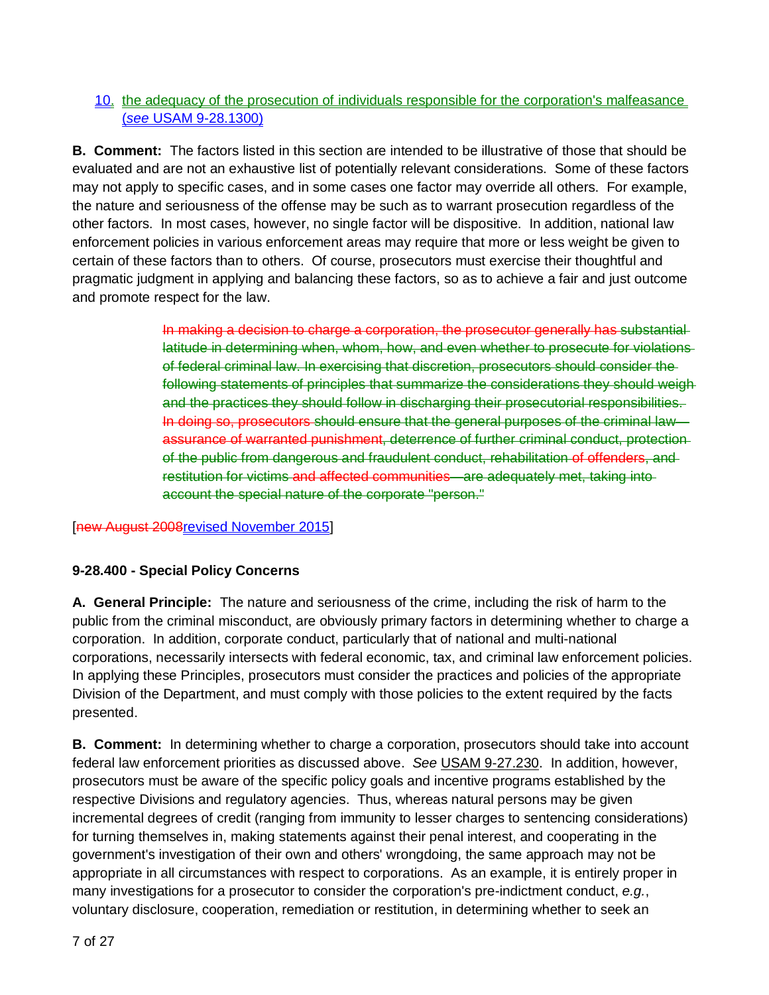## 10. the adequacy of the prosecution of individuals responsible for the corporation's malfeasance (see USAM 9-28.1300)

**B. Comment:** The factors listed in this section are intended to be illustrative of those that should be evaluated and are not an exhaustive list of potentially relevant considerations. Some of these factors may not apply to specific cases, and in some cases one factor may override all others. For example, the nature and seriousness of the offense may be such as to warrant prosecution regardless of the other factors. In most cases, however, no single factor will be dispositive. In addition, national law enforcement policies in various enforcement areas may require that more or less weight be given to certain of these factors than to others. Of course, prosecutors must exercise their thoughtful and pragmatic judgment in applying and balancing these factors, so as to achieve a fair and just outcome and promote respect for the law.

> In making a decision to charge a corporation, the prosecutor generally has substantial latitude in determining when, whom, how, and even whether to prosecute for violations of federal criminal law. In exercising that discretion, prosecutors should consider the following statements of principles that summarize the considerations they should weigh and the practices they should follow in discharging their prosecutorial responsibilities. In doing so, prosecutors should ensure that the general purposes of the criminal law assurance of warranted punishment, deterrence of further criminal conduct, protection of the public from dangerous and fraudulent conduct, rehabilitation of offenders, and restitution for victims and affected communities—are adequately met, taking into account the special nature of the corporate "person."

[new August 2008revised November 2015]

## **9-28.400 - Special Policy Concerns**

**A. General Principle:** The nature and seriousness of the crime, including the risk of harm to the public from the criminal misconduct, are obviously primary factors in determining whether to charge a corporation. In addition, corporate conduct, particularly that of national and multi-national corporations, necessarily intersects with federal economic, tax, and criminal law enforcement policies. In applying these Principles, prosecutors must consider the practices and policies of the appropriate Division of the Department, and must comply with those policies to the extent required by the facts presented.

**B. Comment:** In determining whether to charge a corporation, prosecutors should take into account federal law enforcement priorities as discussed above. See USAM 9-27.230. In addition, however, prosecutors must be aware of the specific policy goals and incentive programs established by the respective Divisions and regulatory agencies. Thus, whereas natural persons may be given incremental degrees of credit (ranging from immunity to lesser charges to sentencing considerations) for turning themselves in, making statements against their penal interest, and cooperating in the government's investigation of their own and others' wrongdoing, the same approach may not be appropriate in all circumstances with respect to corporations. As an example, it is entirely proper in many investigations for a prosecutor to consider the corporation's pre-indictment conduct, e.g., voluntary disclosure, cooperation, remediation or restitution, in determining whether to seek an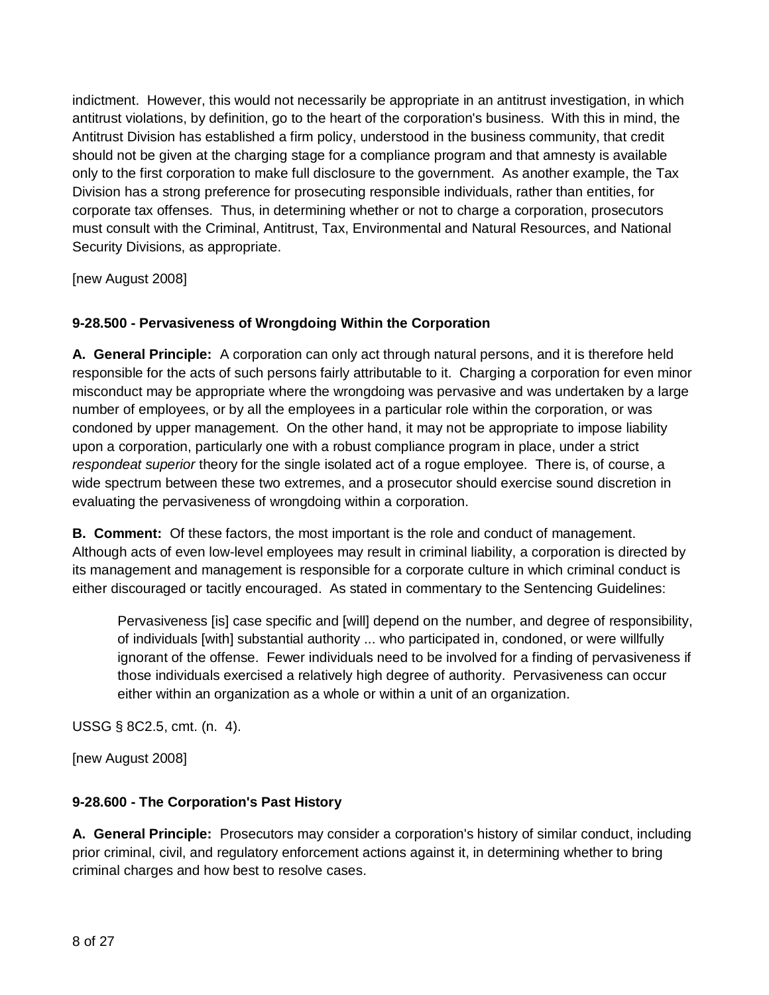indictment. However, this would not necessarily be appropriate in an antitrust investigation, in which antitrust violations, by definition, go to the heart of the corporation's business. With this in mind, the Antitrust Division has established a firm policy, understood in the business community, that credit should not be given at the charging stage for a compliance program and that amnesty is available only to the first corporation to make full disclosure to the government. As another example, the Tax Division has a strong preference for prosecuting responsible individuals, rather than entities, for corporate tax offenses. Thus, in determining whether or not to charge a corporation, prosecutors must consult with the Criminal, Antitrust, Tax, Environmental and Natural Resources, and National Security Divisions, as appropriate.

[new August 2008]

## **9-28.500 - Pervasiveness of Wrongdoing Within the Corporation**

**A. General Principle:** A corporation can only act through natural persons, and it is therefore held responsible for the acts of such persons fairly attributable to it. Charging a corporation for even minor misconduct may be appropriate where the wrongdoing was pervasive and was undertaken by a large number of employees, or by all the employees in a particular role within the corporation, or was condoned by upper management. On the other hand, it may not be appropriate to impose liability upon a corporation, particularly one with a robust compliance program in place, under a strict respondeat superior theory for the single isolated act of a rogue employee. There is, of course, a wide spectrum between these two extremes, and a prosecutor should exercise sound discretion in evaluating the pervasiveness of wrongdoing within a corporation.

**B. Comment:** Of these factors, the most important is the role and conduct of management. Although acts of even low-level employees may result in criminal liability, a corporation is directed by its management and management is responsible for a corporate culture in which criminal conduct is either discouraged or tacitly encouraged. As stated in commentary to the Sentencing Guidelines:

Pervasiveness [is] case specific and [will] depend on the number, and degree of responsibility, of individuals [with] substantial authority ... who participated in, condoned, or were willfully ignorant of the offense. Fewer individuals need to be involved for a finding of pervasiveness if those individuals exercised a relatively high degree of authority. Pervasiveness can occur either within an organization as a whole or within a unit of an organization.

USSG § 8C2.5, cmt. (n. 4).

[new August 2008]

## **9-28.600 - The Corporation's Past History**

**A. General Principle:** Prosecutors may consider a corporation's history of similar conduct, including prior criminal, civil, and regulatory enforcement actions against it, in determining whether to bring criminal charges and how best to resolve cases.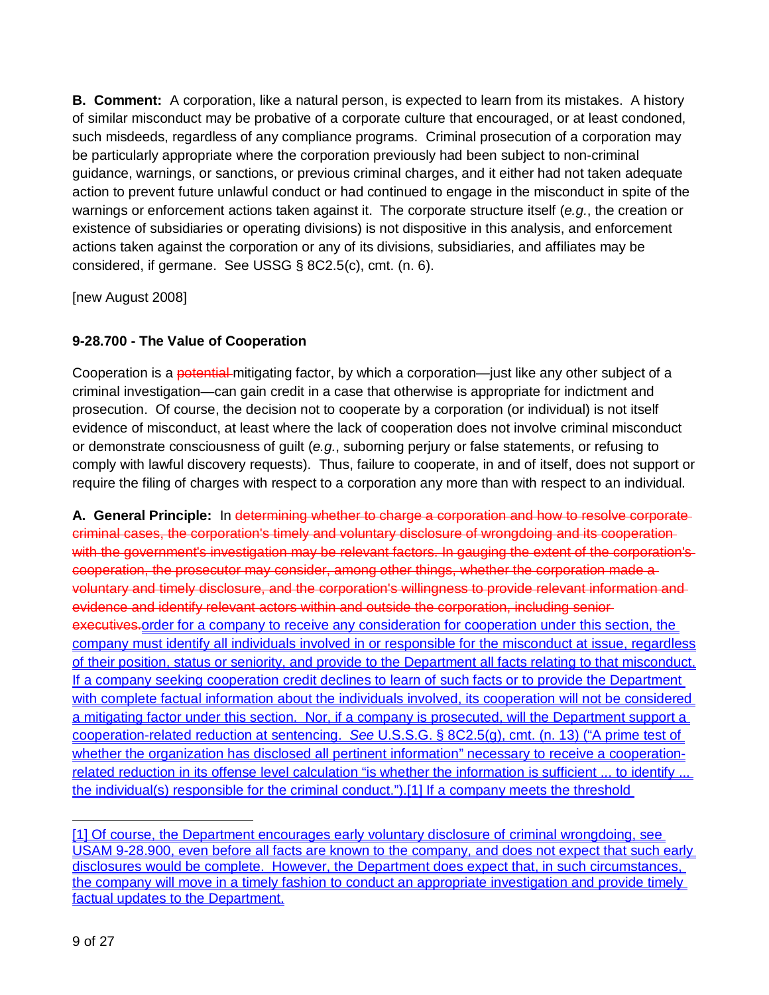**B. Comment:** A corporation, like a natural person, is expected to learn from its mistakes. A history of similar misconduct may be probative of a corporate culture that encouraged, or at least condoned, such misdeeds, regardless of any compliance programs. Criminal prosecution of a corporation may be particularly appropriate where the corporation previously had been subject to non-criminal guidance, warnings, or sanctions, or previous criminal charges, and it either had not taken adequate action to prevent future unlawful conduct or had continued to engage in the misconduct in spite of the warnings or enforcement actions taken against it. The corporate structure itself (e.g., the creation or existence of subsidiaries or operating divisions) is not dispositive in this analysis, and enforcement actions taken against the corporation or any of its divisions, subsidiaries, and affiliates may be considered, if germane. See USSG § 8C2.5(c), cmt. (n. 6).

[new August 2008]

## **9-28.700 - The Value of Cooperation**

Cooperation is a potential-mitigating factor, by which a corporation—just like any other subject of a criminal investigation—can gain credit in a case that otherwise is appropriate for indictment and prosecution. Of course, the decision not to cooperate by a corporation (or individual) is not itself evidence of misconduct, at least where the lack of cooperation does not involve criminal misconduct or demonstrate consciousness of quilt (e.g., suborning perjury or false statements, or refusing to comply with lawful discovery requests). Thus, failure to cooperate, in and of itself, does not support or require the filing of charges with respect to a corporation any more than with respect to an individual.

**A. General Principle:** In determining whether to charge a corporation and how to resolve corporate criminal cases, the corporation's timely and voluntary disclosure of wrongdoing and its cooperation with the government's investigation may be relevant factors. In gauging the extent of the corporation's cooperation, the prosecutor may consider, among other things, whether the corporation made a voluntary and timely disclosure, and the corporation's willingness to provide relevant information and evidence and identify relevant actors within and outside the corporation, including senior executives.order for a company to receive any consideration for cooperation under this section, the company must identify all individuals involved in or responsible for the misconduct at issue, regardless of their position, status or seniority, and provide to the Department all facts relating to that misconduct. If a company seeking cooperation credit declines to learn of such facts or to provide the Department with complete factual information about the individuals involved, its cooperation will not be considered a mitigating factor under this section. Nor, if a company is prosecuted, will the Department support a cooperation-related reduction at sentencing. See U.S.S.G. § 8C2.5(g), cmt. (n. 13) ("A prime test of whether the organization has disclosed all pertinent information" necessary to receive a cooperationrelated reduction in its offense level calculation "is whether the information is sufficient ... to identify the individual(s) responsible for the criminal conduct.").[1] If a company meets the threshold

<sup>[1]</sup> Of course, the Department encourages early voluntary disclosure of criminal wrongdoing, see USAM 9-28.900, even before all facts are known to the company, and does not expect that such early disclosures would be complete. However, the Department does expect that, in such circumstances, the company will move in a timely fashion to conduct an appropriate investigation and provide timely factual updates to the Department.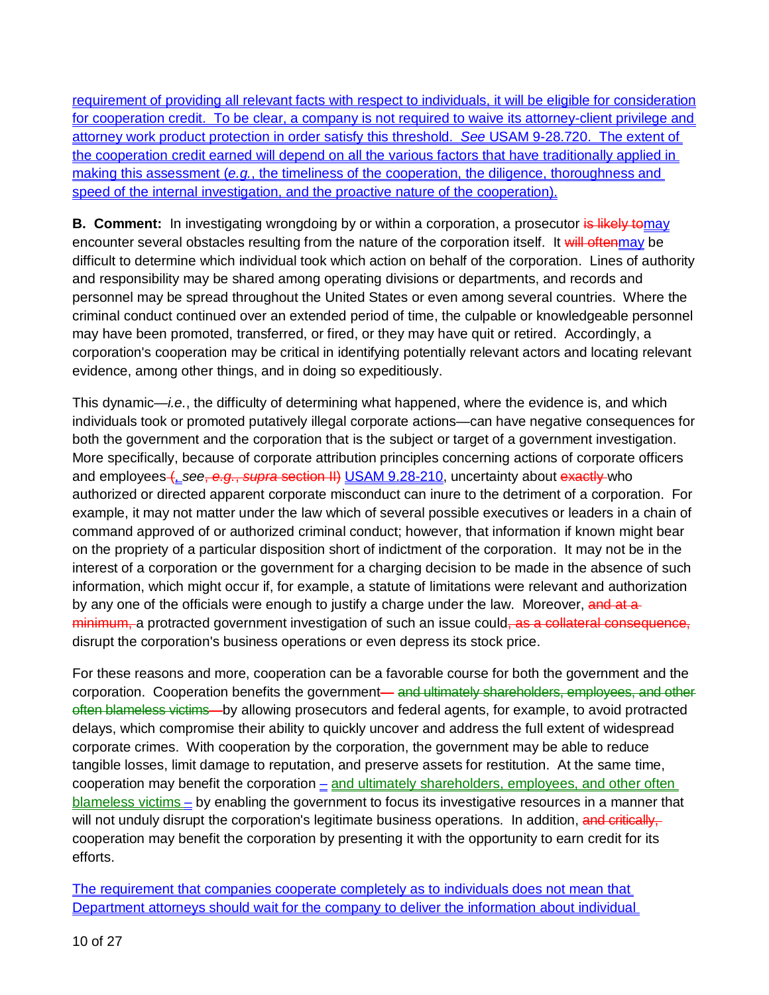requirement of providing all relevant facts with respect to individuals, it will be eligible for consideration for cooperation credit. To be clear, a company is not required to waive its attorney-client privilege and attorney work product protection in order satisfy this threshold. See USAM 9-28.720. The extent of the cooperation credit earned will depend on all the various factors that have traditionally applied in making this assessment (e.g., the timeliness of the cooperation, the diligence, thoroughness and speed of the internal investigation, and the proactive nature of the cooperation).

**B. Comment:** In investigating wrongdoing by or within a corporation, a prosecutor is likely tomay encounter several obstacles resulting from the nature of the corporation itself. It will oftenmay be difficult to determine which individual took which action on behalf of the corporation. Lines of authority and responsibility may be shared among operating divisions or departments, and records and personnel may be spread throughout the United States or even among several countries. Where the criminal conduct continued over an extended period of time, the culpable or knowledgeable personnel may have been promoted, transferred, or fired, or they may have quit or retired. Accordingly, a corporation's cooperation may be critical in identifying potentially relevant actors and locating relevant evidence, among other things, and in doing so expeditiously.

This dynamic—i.e., the difficulty of determining what happened, where the evidence is, and which individuals took or promoted putatively illegal corporate actions—can have negative consequences for both the government and the corporation that is the subject or target of a government investigation. More specifically, because of corporate attribution principles concerning actions of corporate officers and employees-(see, e.g., supra section II) USAM 9.28-210, uncertainty about exactly who authorized or directed apparent corporate misconduct can inure to the detriment of a corporation. For example, it may not matter under the law which of several possible executives or leaders in a chain of command approved of or authorized criminal conduct; however, that information if known might bear on the propriety of a particular disposition short of indictment of the corporation. It may not be in the interest of a corporation or the government for a charging decision to be made in the absence of such information, which might occur if, for example, a statute of limitations were relevant and authorization by any one of the officials were enough to justify a charge under the law. Moreover, and at a minimum, a protracted government investigation of such an issue could, as a collateral consequence, disrupt the corporation's business operations or even depress its stock price.

For these reasons and more, cooperation can be a favorable course for both the government and the corporation. Cooperation benefits the government— and ultimately shareholders, employees, and other often blameless victims—by allowing prosecutors and federal agents, for example, to avoid protracted delays, which compromise their ability to quickly uncover and address the full extent of widespread corporate crimes. With cooperation by the corporation, the government may be able to reduce tangible losses, limit damage to reputation, and preserve assets for restitution. At the same time, cooperation may benefit the corporation  $\frac{1}{2}$  and ultimately shareholders, employees, and other often blameless victims – by enabling the government to focus its investigative resources in a manner that will not unduly disrupt the corporation's legitimate business operations. In addition, and critically, cooperation may benefit the corporation by presenting it with the opportunity to earn credit for its efforts.

The requirement that companies cooperate completely as to individuals does not mean that Department attorneys should wait for the company to deliver the information about individual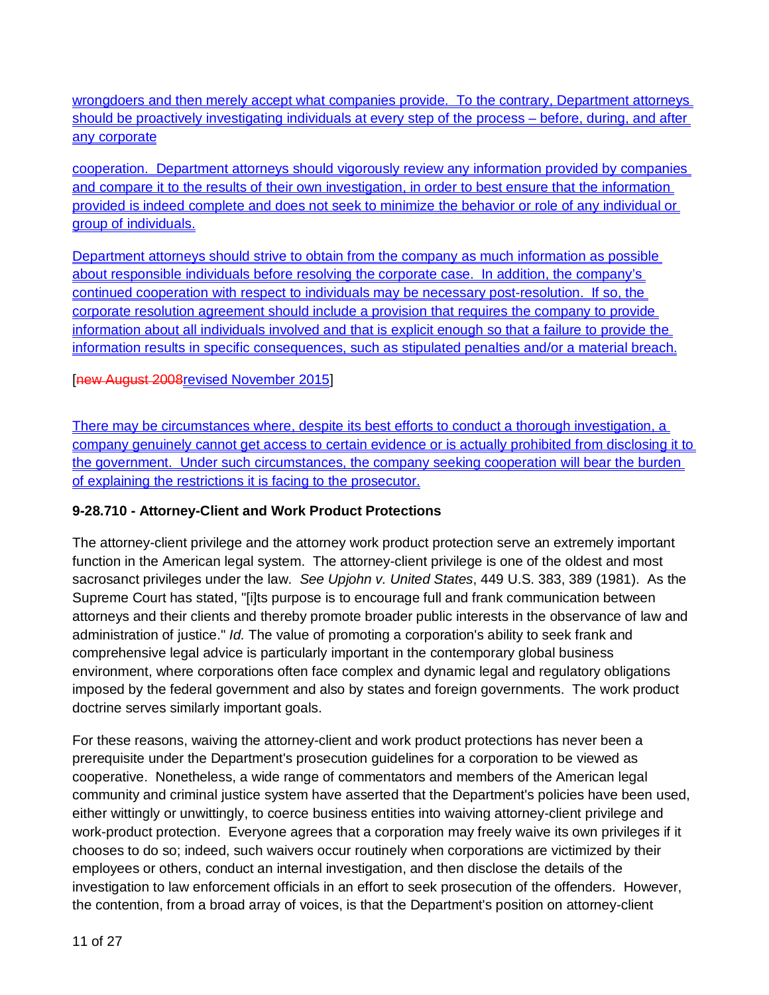wrongdoers and then merely accept what companies provide. To the contrary, Department attorneys should be proactively investigating individuals at every step of the process – before, during, and after any corporate

cooperation. Department attorneys should vigorously review any information provided by companies and compare it to the results of their own investigation, in order to best ensure that the information provided is indeed complete and does not seek to minimize the behavior or role of any individual or group of individuals.

Department attorneys should strive to obtain from the company as much information as possible about responsible individuals before resolving the corporate case. In addition, the company's continued cooperation with respect to individuals may be necessary post-resolution. If so, the corporate resolution agreement should include a provision that requires the company to provide information about all individuals involved and that is explicit enough so that a failure to provide the information results in specific consequences, such as stipulated penalties and/or a material breach.

## [new August 2008revised November 2015]

There may be circumstances where, despite its best efforts to conduct a thorough investigation, a company genuinely cannot get access to certain evidence or is actually prohibited from disclosing it to the government. Under such circumstances, the company seeking cooperation will bear the burden of explaining the restrictions it is facing to the prosecutor.

## **9-28.710 - Attorney-Client and Work Product Protections**

The attorney-client privilege and the attorney work product protection serve an extremely important function in the American legal system. The attorney-client privilege is one of the oldest and most sacrosanct privileges under the law. See Upjohn v. United States, 449 U.S. 383, 389 (1981). As the Supreme Court has stated, "[i]ts purpose is to encourage full and frank communication between attorneys and their clients and thereby promote broader public interests in the observance of law and administration of justice." Id. The value of promoting a corporation's ability to seek frank and comprehensive legal advice is particularly important in the contemporary global business environment, where corporations often face complex and dynamic legal and regulatory obligations imposed by the federal government and also by states and foreign governments. The work product doctrine serves similarly important goals.

For these reasons, waiving the attorney-client and work product protections has never been a prerequisite under the Department's prosecution guidelines for a corporation to be viewed as cooperative. Nonetheless, a wide range of commentators and members of the American legal community and criminal justice system have asserted that the Department's policies have been used, either wittingly or unwittingly, to coerce business entities into waiving attorney-client privilege and work-product protection. Everyone agrees that a corporation may freely waive its own privileges if it chooses to do so; indeed, such waivers occur routinely when corporations are victimized by their employees or others, conduct an internal investigation, and then disclose the details of the investigation to law enforcement officials in an effort to seek prosecution of the offenders. However, the contention, from a broad array of voices, is that the Department's position on attorney-client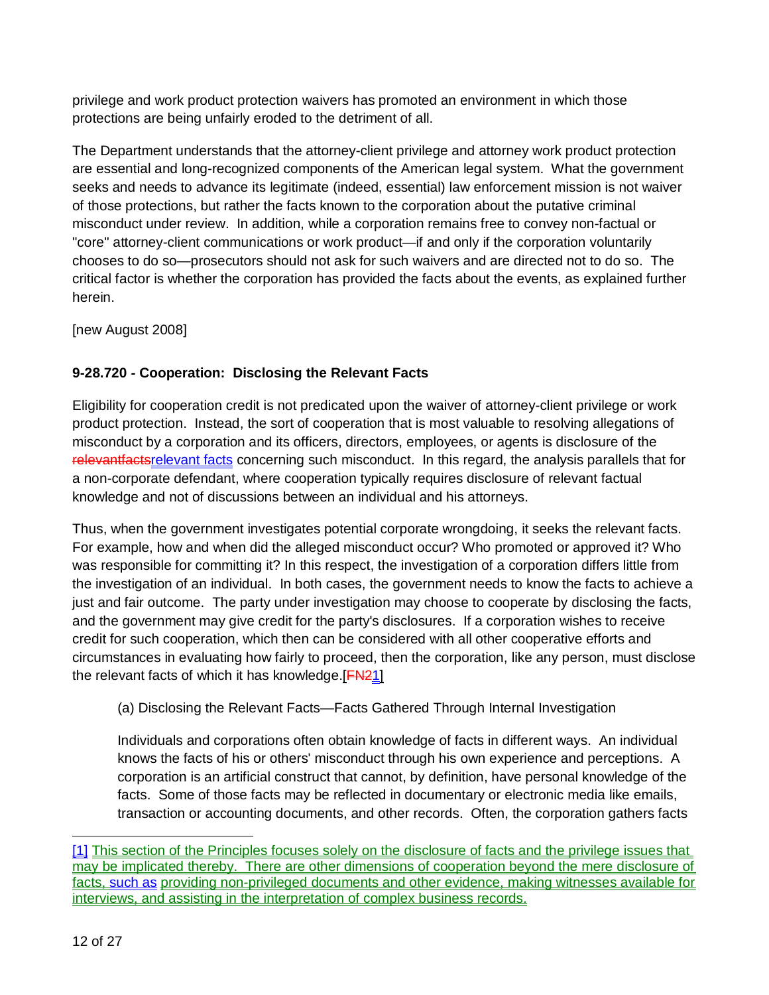privilege and work product protection waivers has promoted an environment in which those protections are being unfairly eroded to the detriment of all.

The Department understands that the attorney-client privilege and attorney work product protection are essential and long-recognized components of the American legal system. What the government seeks and needs to advance its legitimate (indeed, essential) law enforcement mission is not waiver of those protections, but rather the facts known to the corporation about the putative criminal misconduct under review. In addition, while a corporation remains free to convey non-factual or "core" attorney-client communications or work product—if and only if the corporation voluntarily chooses to do so—prosecutors should not ask for such waivers and are directed not to do so. The critical factor is whether the corporation has provided the facts about the events, as explained further herein.

[new August 2008]

## **9-28.720 - Cooperation: Disclosing the Relevant Facts**

Eligibility for cooperation credit is not predicated upon the waiver of attorney-client privilege or work product protection. Instead, the sort of cooperation that is most valuable to resolving allegations of misconduct by a corporation and its officers, directors, employees, or agents is disclosure of the relevantfactsrelevant facts concerning such misconduct. In this regard, the analysis parallels that for a non-corporate defendant, where cooperation typically requires disclosure of relevant factual knowledge and not of discussions between an individual and his attorneys.

Thus, when the government investigates potential corporate wrongdoing, it seeks the relevant facts. For example, how and when did the alleged misconduct occur? Who promoted or approved it? Who was responsible for committing it? In this respect, the investigation of a corporation differs little from the investigation of an individual. In both cases, the government needs to know the facts to achieve a just and fair outcome. The party under investigation may choose to cooperate by disclosing the facts, and the government may give credit for the party's disclosures. If a corporation wishes to receive credit for such cooperation, which then can be considered with all other cooperative efforts and circumstances in evaluating how fairly to proceed, then the corporation, like any person, must disclose the relevant facts of which it has knowledge.  $F N21$ 

(a) Disclosing the Relevant Facts—Facts Gathered Through Internal Investigation

Individuals and corporations often obtain knowledge of facts in different ways. An individual knows the facts of his or others' misconduct through his own experience and perceptions. A corporation is an artificial construct that cannot, by definition, have personal knowledge of the facts. Some of those facts may be reflected in documentary or electronic media like emails, transaction or accounting documents, and other records. Often, the corporation gathers facts

<sup>[1]</sup> This section of the Principles focuses solely on the disclosure of facts and the privilege issues that may be implicated thereby. There are other dimensions of cooperation beyond the mere disclosure of facts, such as providing non-privileged documents and other evidence, making witnesses available for interviews, and assisting in the interpretation of complex business records.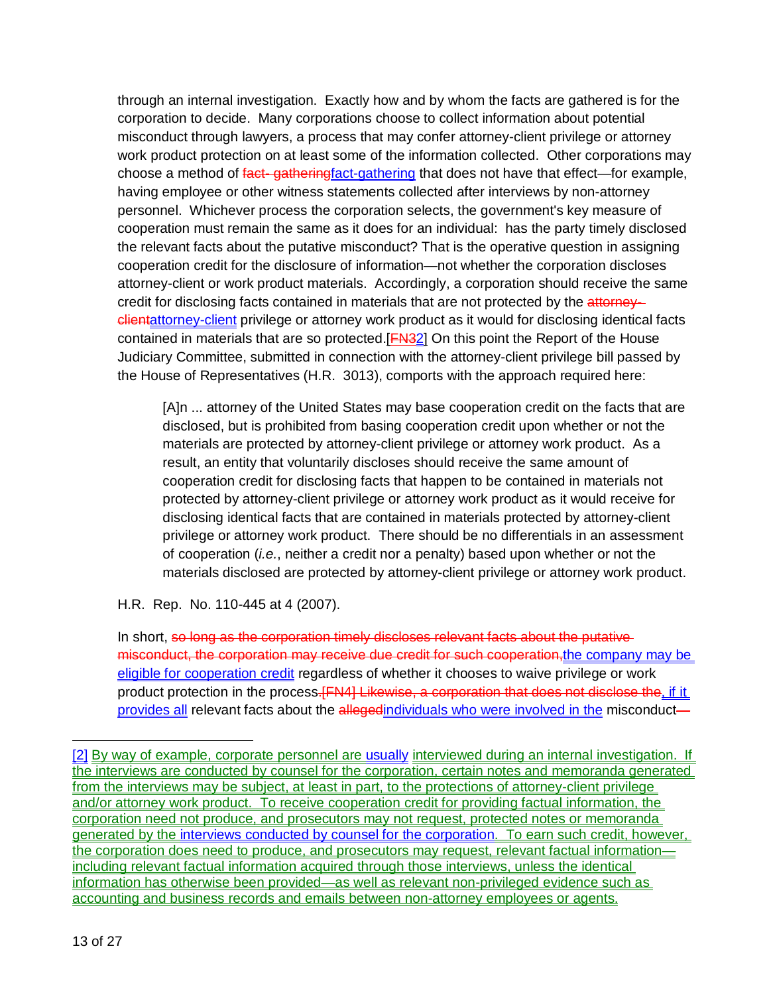through an internal investigation. Exactly how and by whom the facts are gathered is for the corporation to decide. Many corporations choose to collect information about potential misconduct through lawyers, a process that may confer attorney-client privilege or attorney work product protection on at least some of the information collected. Other corporations may choose a method of fact-gatheringfact-gathering that does not have that effect—for example, having employee or other witness statements collected after interviews by non-attorney personnel. Whichever process the corporation selects, the government's key measure of cooperation must remain the same as it does for an individual: has the party timely disclosed the relevant facts about the putative misconduct? That is the operative question in assigning cooperation credit for the disclosure of information—not whether the corporation discloses attorney-client or work product materials. Accordingly, a corporation should receive the same credit for disclosing facts contained in materials that are not protected by the attorney**clientattorney-client privilege or attorney work product as it would for disclosing identical facts** contained in materials that are so protected.<sup>[FN32]</sup> On this point the Report of the House Judiciary Committee, submitted in connection with the attorney-client privilege bill passed by the House of Representatives (H.R. 3013), comports with the approach required here:

[A]n ... attorney of the United States may base cooperation credit on the facts that are disclosed, but is prohibited from basing cooperation credit upon whether or not the materials are protected by attorney-client privilege or attorney work product. As a result, an entity that voluntarily discloses should receive the same amount of cooperation credit for disclosing facts that happen to be contained in materials not protected by attorney-client privilege or attorney work product as it would receive for disclosing identical facts that are contained in materials protected by attorney-client privilege or attorney work product. There should be no differentials in an assessment of cooperation (i.e., neither a credit nor a penalty) based upon whether or not the materials disclosed are protected by attorney-client privilege or attorney work product.

H.R. Rep. No. 110-445 at 4 (2007).

In short, so long as the corporation timely discloses relevant facts about the putative misconduct, the corporation may receive due credit for such cooperation, the company may be eligible for cooperation credit regardless of whether it chooses to waive privilege or work product protection in the process. FN4] Likewise, a corporation that does not disclose the, if it provides all relevant facts about the allegedindividuals who were involved in the misconduct-

 $\overline{a}$ 

<sup>[2]</sup> By way of example, corporate personnel are usually interviewed during an internal investigation. If the interviews are conducted by counsel for the corporation, certain notes and memoranda generated from the interviews may be subject, at least in part, to the protections of attorney-client privilege and/or attorney work product. To receive cooperation credit for providing factual information, the corporation need not produce, and prosecutors may not request, protected notes or memoranda generated by the interviews conducted by counsel for the corporation. To earn such credit, however, the corporation does need to produce, and prosecutors may request, relevant factual information including relevant factual information acquired through those interviews, unless the identical information has otherwise been provided—as well as relevant non-privileged evidence such as accounting and business records and emails between non-attorney employees or agents.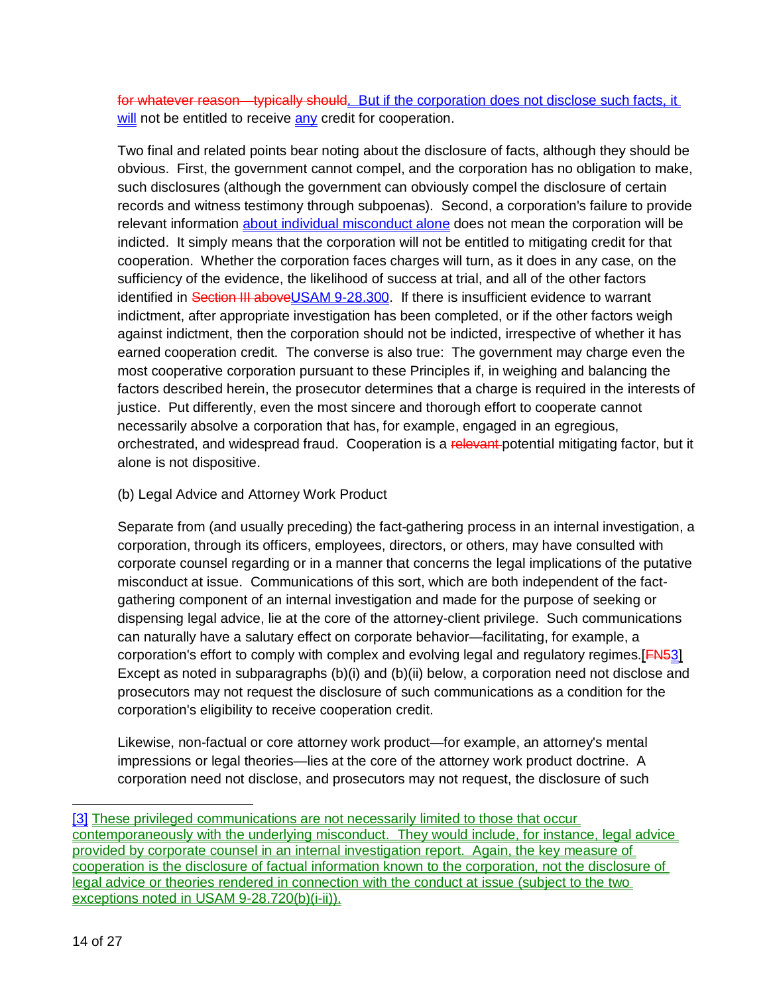for whatever reason—typically should. But if the corporation does not disclose such facts, it will not be entitled to receive any credit for cooperation.

Two final and related points bear noting about the disclosure of facts, although they should be obvious. First, the government cannot compel, and the corporation has no obligation to make, such disclosures (although the government can obviously compel the disclosure of certain records and witness testimony through subpoenas). Second, a corporation's failure to provide relevant information about individual misconduct alone does not mean the corporation will be indicted. It simply means that the corporation will not be entitled to mitigating credit for that cooperation. Whether the corporation faces charges will turn, as it does in any case, on the sufficiency of the evidence, the likelihood of success at trial, and all of the other factors identified in Section III aboveUSAM 9-28.300. If there is insufficient evidence to warrant indictment, after appropriate investigation has been completed, or if the other factors weigh against indictment, then the corporation should not be indicted, irrespective of whether it has earned cooperation credit. The converse is also true: The government may charge even the most cooperative corporation pursuant to these Principles if, in weighing and balancing the factors described herein, the prosecutor determines that a charge is required in the interests of justice. Put differently, even the most sincere and thorough effort to cooperate cannot necessarily absolve a corporation that has, for example, engaged in an egregious, orchestrated, and widespread fraud. Cooperation is a relevant-potential mitigating factor, but it alone is not dispositive.

### (b) Legal Advice and Attorney Work Product

Separate from (and usually preceding) the fact-gathering process in an internal investigation, a corporation, through its officers, employees, directors, or others, may have consulted with corporate counsel regarding or in a manner that concerns the legal implications of the putative misconduct at issue. Communications of this sort, which are both independent of the factgathering component of an internal investigation and made for the purpose of seeking or dispensing legal advice, lie at the core of the attorney-client privilege. Such communications can naturally have a salutary effect on corporate behavior—facilitating, for example, a corporation's effort to comply with complex and evolving legal and regulatory regimes.[FN53] Except as noted in subparagraphs (b)(i) and (b)(ii) below, a corporation need not disclose and prosecutors may not request the disclosure of such communications as a condition for the corporation's eligibility to receive cooperation credit.

Likewise, non-factual or core attorney work product—for example, an attorney's mental impressions or legal theories—lies at the core of the attorney work product doctrine. A corporation need not disclose, and prosecutors may not request, the disclosure of such

 $\overline{a}$ 

<sup>[3]</sup> These privileged communications are not necessarily limited to those that occur contemporaneously with the underlying misconduct. They would include, for instance, legal advice provided by corporate counsel in an internal investigation report. Again, the key measure of cooperation is the disclosure of factual information known to the corporation, not the disclosure of legal advice or theories rendered in connection with the conduct at issue (subject to the two exceptions noted in USAM 9-28.720(b)(i-ii)).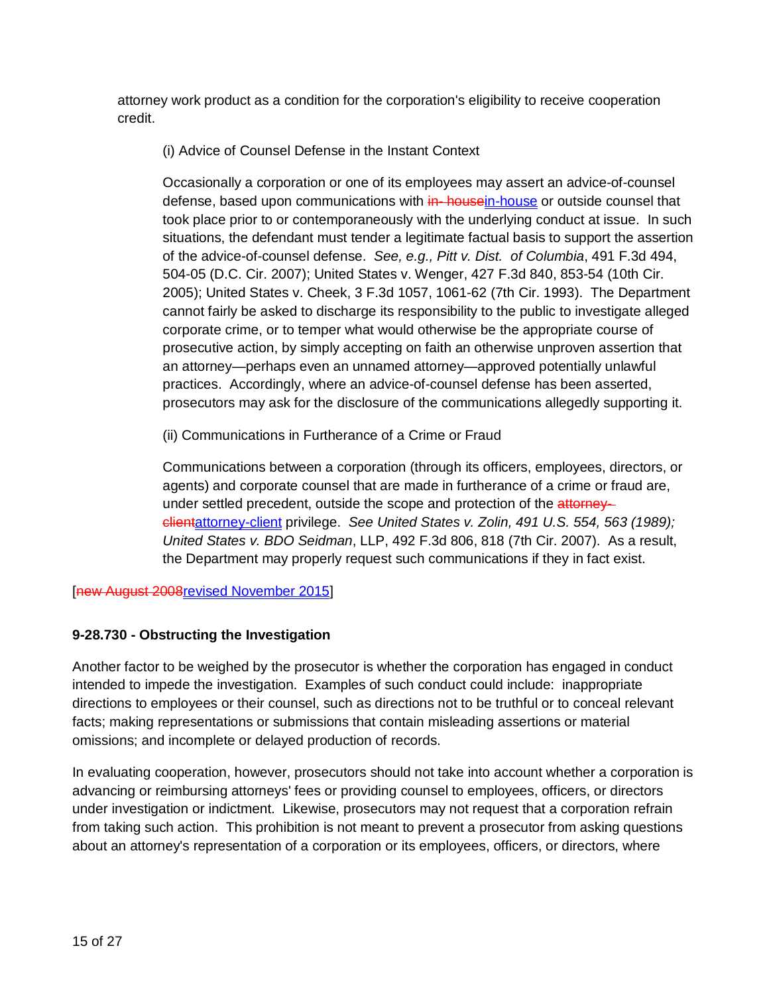attorney work product as a condition for the corporation's eligibility to receive cooperation credit.

(i) Advice of Counsel Defense in the Instant Context

Occasionally a corporation or one of its employees may assert an advice-of-counsel defense, based upon communications with in-house in-house or outside counsel that took place prior to or contemporaneously with the underlying conduct at issue. In such situations, the defendant must tender a legitimate factual basis to support the assertion of the advice-of-counsel defense. See, e.g., Pitt v. Dist. of Columbia, 491 F.3d 494, 504-05 (D.C. Cir. 2007); United States v. Wenger, 427 F.3d 840, 853-54 (10th Cir. 2005); United States v. Cheek, 3 F.3d 1057, 1061-62 (7th Cir. 1993). The Department cannot fairly be asked to discharge its responsibility to the public to investigate alleged corporate crime, or to temper what would otherwise be the appropriate course of prosecutive action, by simply accepting on faith an otherwise unproven assertion that an attorney—perhaps even an unnamed attorney—approved potentially unlawful practices. Accordingly, where an advice-of-counsel defense has been asserted, prosecutors may ask for the disclosure of the communications allegedly supporting it.

(ii) Communications in Furtherance of a Crime or Fraud

Communications between a corporation (through its officers, employees, directors, or agents) and corporate counsel that are made in furtherance of a crime or fraud are, under settled precedent, outside the scope and protection of the attorneyclientattorney-client privilege. See United States v. Zolin, 491 U.S. 554, 563 (1989); United States v. BDO Seidman, LLP, 492 F.3d 806, 818 (7th Cir. 2007). As a result, the Department may properly request such communications if they in fact exist.

[new August 2008revised November 2015]

## **9-28.730 - Obstructing the Investigation**

Another factor to be weighed by the prosecutor is whether the corporation has engaged in conduct intended to impede the investigation. Examples of such conduct could include: inappropriate directions to employees or their counsel, such as directions not to be truthful or to conceal relevant facts; making representations or submissions that contain misleading assertions or material omissions; and incomplete or delayed production of records.

In evaluating cooperation, however, prosecutors should not take into account whether a corporation is advancing or reimbursing attorneys' fees or providing counsel to employees, officers, or directors under investigation or indictment. Likewise, prosecutors may not request that a corporation refrain from taking such action. This prohibition is not meant to prevent a prosecutor from asking questions about an attorney's representation of a corporation or its employees, officers, or directors, where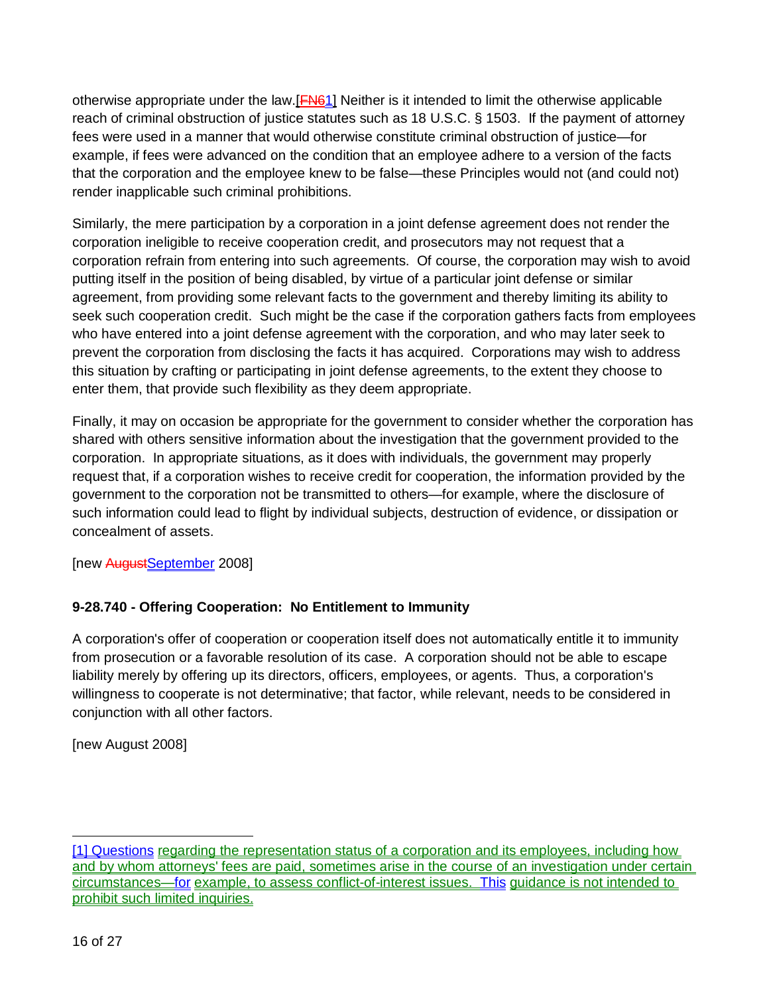otherwise appropriate under the law.[FN61] Neither is it intended to limit the otherwise applicable reach of criminal obstruction of justice statutes such as 18 U.S.C. § 1503. If the payment of attorney fees were used in a manner that would otherwise constitute criminal obstruction of justice—for example, if fees were advanced on the condition that an employee adhere to a version of the facts that the corporation and the employee knew to be false—these Principles would not (and could not) render inapplicable such criminal prohibitions.

Similarly, the mere participation by a corporation in a joint defense agreement does not render the corporation ineligible to receive cooperation credit, and prosecutors may not request that a corporation refrain from entering into such agreements. Of course, the corporation may wish to avoid putting itself in the position of being disabled, by virtue of a particular joint defense or similar agreement, from providing some relevant facts to the government and thereby limiting its ability to seek such cooperation credit. Such might be the case if the corporation gathers facts from employees who have entered into a joint defense agreement with the corporation, and who may later seek to prevent the corporation from disclosing the facts it has acquired. Corporations may wish to address this situation by crafting or participating in joint defense agreements, to the extent they choose to enter them, that provide such flexibility as they deem appropriate.

Finally, it may on occasion be appropriate for the government to consider whether the corporation has shared with others sensitive information about the investigation that the government provided to the corporation. In appropriate situations, as it does with individuals, the government may properly request that, if a corporation wishes to receive credit for cooperation, the information provided by the government to the corporation not be transmitted to others—for example, where the disclosure of such information could lead to flight by individual subjects, destruction of evidence, or dissipation or concealment of assets.

[new AugustSeptember 2008]

## **9-28.740 - Offering Cooperation: No Entitlement to Immunity**

A corporation's offer of cooperation or cooperation itself does not automatically entitle it to immunity from prosecution or a favorable resolution of its case. A corporation should not be able to escape liability merely by offering up its directors, officers, employees, or agents. Thus, a corporation's willingness to cooperate is not determinative; that factor, while relevant, needs to be considered in conjunction with all other factors.

[new August 2008]

<sup>[1]</sup> Questions regarding the representation status of a corporation and its employees, including how and by whom attorneys' fees are paid, sometimes arise in the course of an investigation under certain circumstances—for example, to assess conflict-of-interest issues. This guidance is not intended to prohibit such limited inquiries.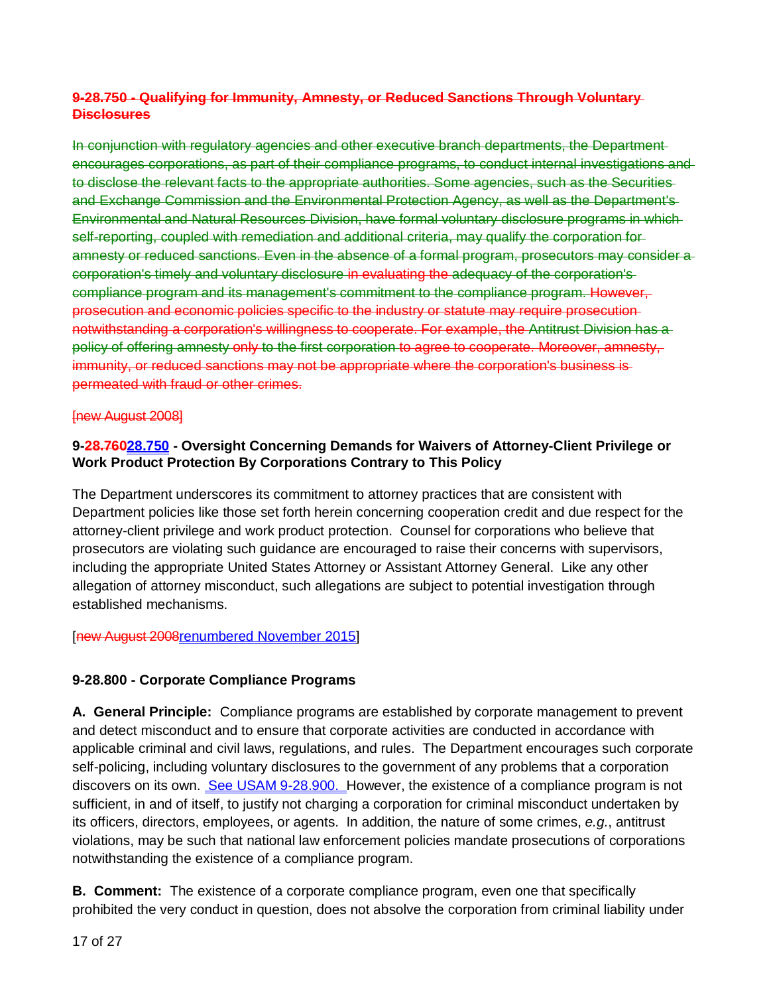### **9-28.750 - Qualifying for Immunity, Amnesty, or Reduced Sanctions Through Voluntary Disclosures**

In conjunction with regulatory agencies and other executive branch departments, the Department encourages corporations, as part of their compliance programs, to conduct internal investigations and to disclose the relevant facts to the appropriate authorities. Some agencies, such as the Securities and Exchange Commission and the Environmental Protection Agency, as well as the Department's Environmental and Natural Resources Division, have formal voluntary disclosure programs in which self-reporting, coupled with remediation and additional criteria, may qualify the corporation for amnesty or reduced sanctions. Even in the absence of a formal program, prosecutors may consider a corporation's timely and voluntary disclosure in evaluating the adequacy of the corporation's compliance program and its management's commitment to the compliance program. However, prosecution and economic policies specific to the industry or statute may require prosecution notwithstanding a corporation's willingness to cooperate. For example, the Antitrust Division has a policy of offering amnesty only to the first corporation to agree to cooperate. Moreover, amnesty, immunity, or reduced sanctions may not be appropriate where the corporation's business is permeated with fraud or other crimes.

### [new August 2008]

### **9-28.76028.750 - Oversight Concerning Demands for Waivers of Attorney-Client Privilege or Work Product Protection By Corporations Contrary to This Policy**

The Department underscores its commitment to attorney practices that are consistent with Department policies like those set forth herein concerning cooperation credit and due respect for the attorney-client privilege and work product protection. Counsel for corporations who believe that prosecutors are violating such guidance are encouraged to raise their concerns with supervisors, including the appropriate United States Attorney or Assistant Attorney General. Like any other allegation of attorney misconduct, such allegations are subject to potential investigation through established mechanisms.

## [new August 2008renumbered November 2015]

## **9-28.800 - Corporate Compliance Programs**

**A. General Principle:** Compliance programs are established by corporate management to prevent and detect misconduct and to ensure that corporate activities are conducted in accordance with applicable criminal and civil laws, regulations, and rules. The Department encourages such corporate self-policing, including voluntary disclosures to the government of any problems that a corporation discovers on its own. See USAM 9-28.900. However, the existence of a compliance program is not sufficient, in and of itself, to justify not charging a corporation for criminal misconduct undertaken by its officers, directors, employees, or agents. In addition, the nature of some crimes, e.g., antitrust violations, may be such that national law enforcement policies mandate prosecutions of corporations notwithstanding the existence of a compliance program.

**B. Comment:** The existence of a corporate compliance program, even one that specifically prohibited the very conduct in question, does not absolve the corporation from criminal liability under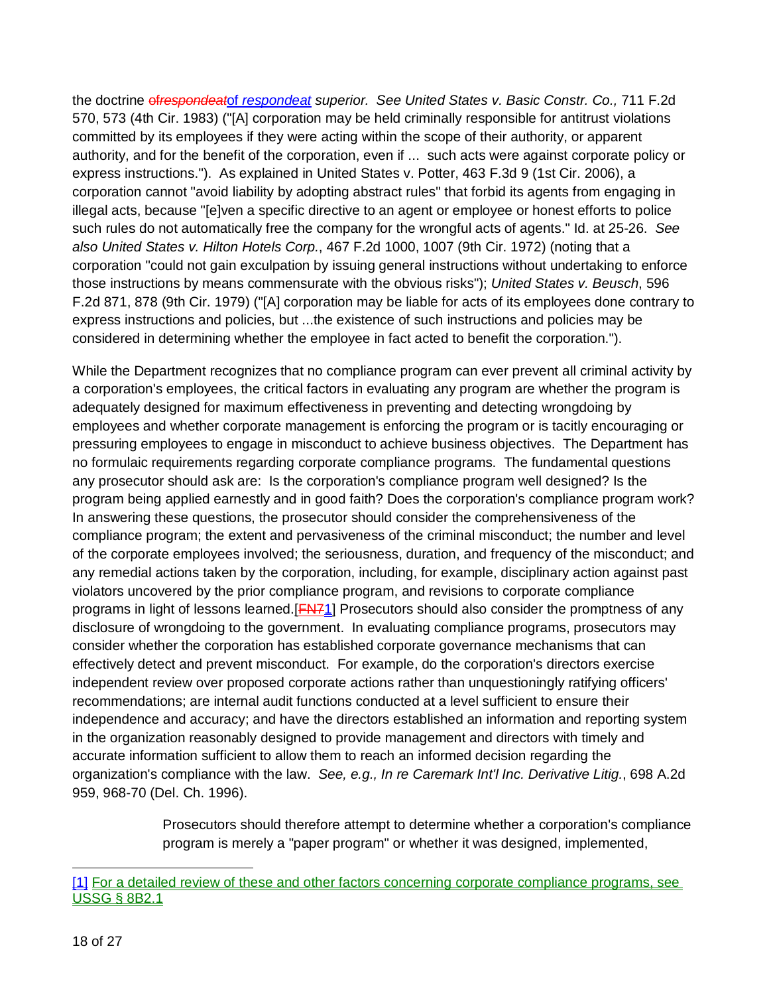the doctrine of respondeatof respondeat superior. See United States v. Basic Constr. Co., 711 F.2d 570, 573 (4th Cir. 1983) ("[A] corporation may be held criminally responsible for antitrust violations committed by its employees if they were acting within the scope of their authority, or apparent authority, and for the benefit of the corporation, even if ... such acts were against corporate policy or express instructions."). As explained in United States v. Potter, 463 F.3d 9 (1st Cir. 2006), a corporation cannot "avoid liability by adopting abstract rules" that forbid its agents from engaging in illegal acts, because "[e]ven a specific directive to an agent or employee or honest efforts to police such rules do not automatically free the company for the wrongful acts of agents." Id. at 25-26. See also United States v. Hilton Hotels Corp., 467 F.2d 1000, 1007 (9th Cir. 1972) (noting that a corporation "could not gain exculpation by issuing general instructions without undertaking to enforce those instructions by means commensurate with the obvious risks"); United States v. Beusch, 596 F.2d 871, 878 (9th Cir. 1979) ("[A] corporation may be liable for acts of its employees done contrary to express instructions and policies, but ...the existence of such instructions and policies may be considered in determining whether the employee in fact acted to benefit the corporation.").

While the Department recognizes that no compliance program can ever prevent all criminal activity by a corporation's employees, the critical factors in evaluating any program are whether the program is adequately designed for maximum effectiveness in preventing and detecting wrongdoing by employees and whether corporate management is enforcing the program or is tacitly encouraging or pressuring employees to engage in misconduct to achieve business objectives. The Department has no formulaic requirements regarding corporate compliance programs. The fundamental questions any prosecutor should ask are: Is the corporation's compliance program well designed? Is the program being applied earnestly and in good faith? Does the corporation's compliance program work? In answering these questions, the prosecutor should consider the comprehensiveness of the compliance program; the extent and pervasiveness of the criminal misconduct; the number and level of the corporate employees involved; the seriousness, duration, and frequency of the misconduct; and any remedial actions taken by the corporation, including, for example, disciplinary action against past violators uncovered by the prior compliance program, and revisions to corporate compliance programs in light of lessons learned.[FN71] Prosecutors should also consider the promptness of any disclosure of wrongdoing to the government. In evaluating compliance programs, prosecutors may consider whether the corporation has established corporate governance mechanisms that can effectively detect and prevent misconduct. For example, do the corporation's directors exercise independent review over proposed corporate actions rather than unquestioningly ratifying officers' recommendations; are internal audit functions conducted at a level sufficient to ensure their independence and accuracy; and have the directors established an information and reporting system in the organization reasonably designed to provide management and directors with timely and accurate information sufficient to allow them to reach an informed decision regarding the organization's compliance with the law. See, e.g., In re Caremark Int'l Inc. Derivative Litig., 698 A.2d 959, 968-70 (Del. Ch. 1996).

> Prosecutors should therefore attempt to determine whether a corporation's compliance program is merely a "paper program" or whether it was designed, implemented,

 $\overline{a}$ 

<sup>[1]</sup> For a detailed review of these and other factors concerning corporate compliance programs, see USSG § 8B2.1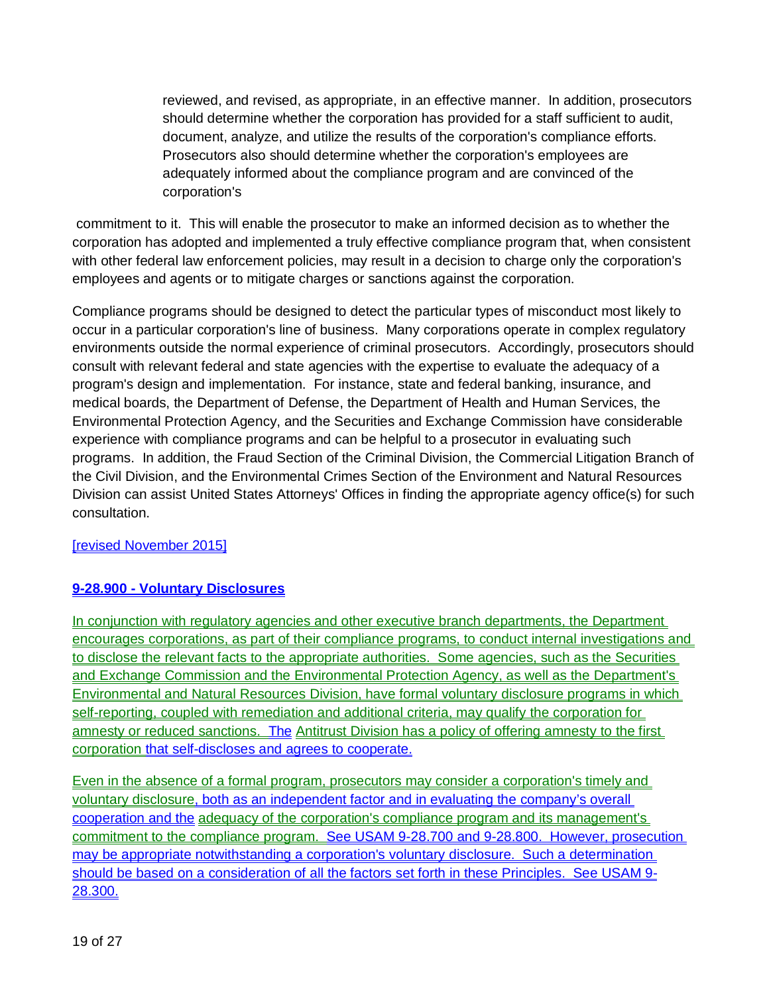reviewed, and revised, as appropriate, in an effective manner. In addition, prosecutors should determine whether the corporation has provided for a staff sufficient to audit, document, analyze, and utilize the results of the corporation's compliance efforts. Prosecutors also should determine whether the corporation's employees are adequately informed about the compliance program and are convinced of the corporation's

 commitment to it. This will enable the prosecutor to make an informed decision as to whether the corporation has adopted and implemented a truly effective compliance program that, when consistent with other federal law enforcement policies, may result in a decision to charge only the corporation's employees and agents or to mitigate charges or sanctions against the corporation.

Compliance programs should be designed to detect the particular types of misconduct most likely to occur in a particular corporation's line of business. Many corporations operate in complex regulatory environments outside the normal experience of criminal prosecutors. Accordingly, prosecutors should consult with relevant federal and state agencies with the expertise to evaluate the adequacy of a program's design and implementation. For instance, state and federal banking, insurance, and medical boards, the Department of Defense, the Department of Health and Human Services, the Environmental Protection Agency, and the Securities and Exchange Commission have considerable experience with compliance programs and can be helpful to a prosecutor in evaluating such programs. In addition, the Fraud Section of the Criminal Division, the Commercial Litigation Branch of the Civil Division, and the Environmental Crimes Section of the Environment and Natural Resources Division can assist United States Attorneys' Offices in finding the appropriate agency office(s) for such consultation.

### [revised November 2015]

## **9-28.900 - Voluntary Disclosures**

In conjunction with regulatory agencies and other executive branch departments, the Department encourages corporations, as part of their compliance programs, to conduct internal investigations and to disclose the relevant facts to the appropriate authorities. Some agencies, such as the Securities and Exchange Commission and the Environmental Protection Agency, as well as the Department's Environmental and Natural Resources Division, have formal voluntary disclosure programs in which self-reporting, coupled with remediation and additional criteria, may qualify the corporation for amnesty or reduced sanctions. The Antitrust Division has a policy of offering amnesty to the first corporation that self-discloses and agrees to cooperate.

Even in the absence of a formal program, prosecutors may consider a corporation's timely and voluntary disclosure, both as an independent factor and in evaluating the company's overall cooperation and the adequacy of the corporation's compliance program and its management's commitment to the compliance program. See USAM 9-28.700 and 9-28.800. However, prosecution may be appropriate notwithstanding a corporation's voluntary disclosure. Such a determination should be based on a consideration of all the factors set forth in these Principles. See USAM 9-28.300.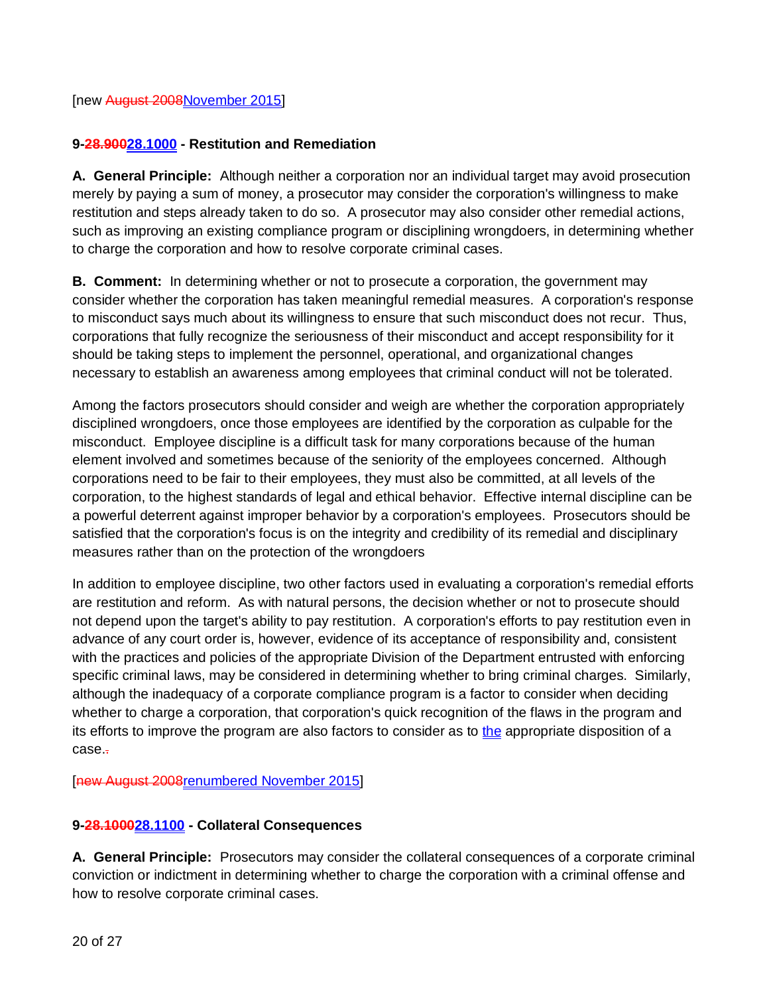### **9-28.90028.1000 - Restitution and Remediation**

**A. General Principle:** Although neither a corporation nor an individual target may avoid prosecution merely by paying a sum of money, a prosecutor may consider the corporation's willingness to make restitution and steps already taken to do so. A prosecutor may also consider other remedial actions, such as improving an existing compliance program or disciplining wrongdoers, in determining whether to charge the corporation and how to resolve corporate criminal cases.

**B. Comment:** In determining whether or not to prosecute a corporation, the government may consider whether the corporation has taken meaningful remedial measures. A corporation's response to misconduct says much about its willingness to ensure that such misconduct does not recur. Thus, corporations that fully recognize the seriousness of their misconduct and accept responsibility for it should be taking steps to implement the personnel, operational, and organizational changes necessary to establish an awareness among employees that criminal conduct will not be tolerated.

Among the factors prosecutors should consider and weigh are whether the corporation appropriately disciplined wrongdoers, once those employees are identified by the corporation as culpable for the misconduct. Employee discipline is a difficult task for many corporations because of the human element involved and sometimes because of the seniority of the employees concerned. Although corporations need to be fair to their employees, they must also be committed, at all levels of the corporation, to the highest standards of legal and ethical behavior. Effective internal discipline can be a powerful deterrent against improper behavior by a corporation's employees. Prosecutors should be satisfied that the corporation's focus is on the integrity and credibility of its remedial and disciplinary measures rather than on the protection of the wrongdoers

In addition to employee discipline, two other factors used in evaluating a corporation's remedial efforts are restitution and reform. As with natural persons, the decision whether or not to prosecute should not depend upon the target's ability to pay restitution. A corporation's efforts to pay restitution even in advance of any court order is, however, evidence of its acceptance of responsibility and, consistent with the practices and policies of the appropriate Division of the Department entrusted with enforcing specific criminal laws, may be considered in determining whether to bring criminal charges. Similarly, although the inadequacy of a corporate compliance program is a factor to consider when deciding whether to charge a corporation, that corporation's quick recognition of the flaws in the program and its efforts to improve the program are also factors to consider as to the appropriate disposition of a case..

[new August 2008renumbered November 2015]

## **9-28.100028.1100 - Collateral Consequences**

**A. General Principle:** Prosecutors may consider the collateral consequences of a corporate criminal conviction or indictment in determining whether to charge the corporation with a criminal offense and how to resolve corporate criminal cases.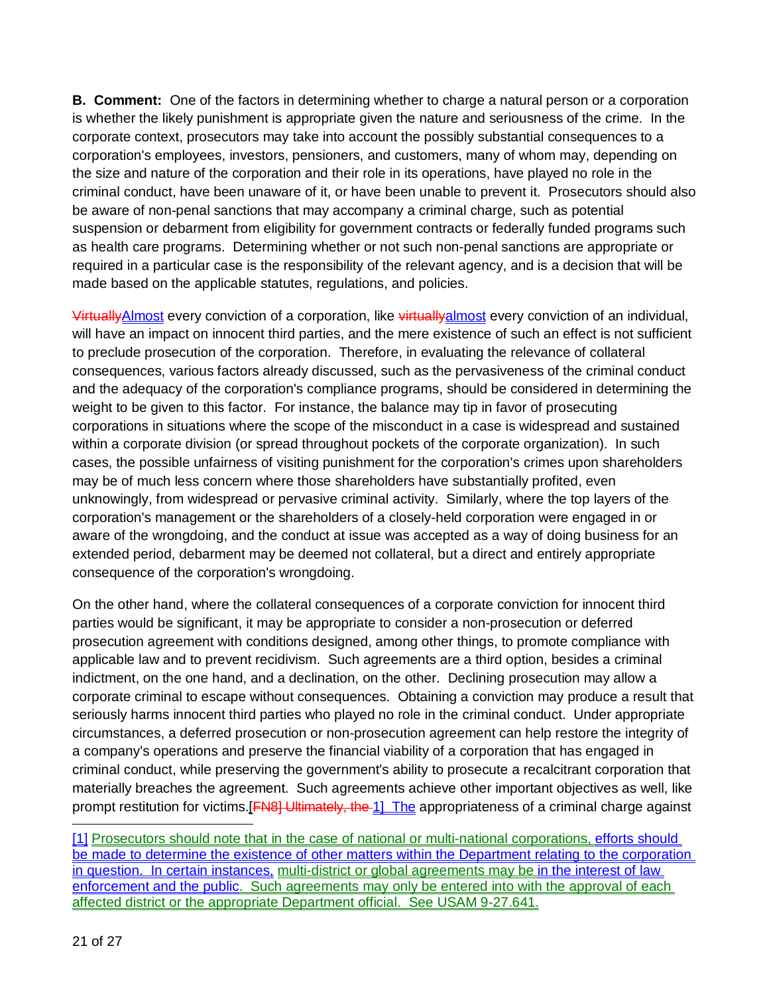**B. Comment:** One of the factors in determining whether to charge a natural person or a corporation is whether the likely punishment is appropriate given the nature and seriousness of the crime. In the corporate context, prosecutors may take into account the possibly substantial consequences to a corporation's employees, investors, pensioners, and customers, many of whom may, depending on the size and nature of the corporation and their role in its operations, have played no role in the criminal conduct, have been unaware of it, or have been unable to prevent it. Prosecutors should also be aware of non-penal sanctions that may accompany a criminal charge, such as potential suspension or debarment from eligibility for government contracts or federally funded programs such as health care programs. Determining whether or not such non-penal sanctions are appropriate or required in a particular case is the responsibility of the relevant agency, and is a decision that will be made based on the applicable statutes, regulations, and policies.

VirtuallyAlmost every conviction of a corporation, like virtuallyalmost every conviction of an individual, will have an impact on innocent third parties, and the mere existence of such an effect is not sufficient to preclude prosecution of the corporation. Therefore, in evaluating the relevance of collateral consequences, various factors already discussed, such as the pervasiveness of the criminal conduct and the adequacy of the corporation's compliance programs, should be considered in determining the weight to be given to this factor. For instance, the balance may tip in favor of prosecuting corporations in situations where the scope of the misconduct in a case is widespread and sustained within a corporate division (or spread throughout pockets of the corporate organization). In such cases, the possible unfairness of visiting punishment for the corporation's crimes upon shareholders may be of much less concern where those shareholders have substantially profited, even unknowingly, from widespread or pervasive criminal activity. Similarly, where the top layers of the corporation's management or the shareholders of a closely-held corporation were engaged in or aware of the wrongdoing, and the conduct at issue was accepted as a way of doing business for an extended period, debarment may be deemed not collateral, but a direct and entirely appropriate consequence of the corporation's wrongdoing.

On the other hand, where the collateral consequences of a corporate conviction for innocent third parties would be significant, it may be appropriate to consider a non-prosecution or deferred prosecution agreement with conditions designed, among other things, to promote compliance with applicable law and to prevent recidivism. Such agreements are a third option, besides a criminal indictment, on the one hand, and a declination, on the other. Declining prosecution may allow a corporate criminal to escape without consequences. Obtaining a conviction may produce a result that seriously harms innocent third parties who played no role in the criminal conduct. Under appropriate circumstances, a deferred prosecution or non-prosecution agreement can help restore the integrity of a company's operations and preserve the financial viability of a corporation that has engaged in criminal conduct, while preserving the government's ability to prosecute a recalcitrant corporation that materially breaches the agreement. Such agreements achieve other important objectives as well, like prompt restitution for victims.[FN8] Ultimately, the 1] The appropriateness of a criminal charge against

[1] Prosecutors should note that in the case of national or multi-national corporations, efforts should be made to determine the existence of other matters within the Department relating to the corporation in question. In certain instances, multi-district or global agreements may be in the interest of law enforcement and the public. Such agreements may only be entered into with the approval of each affected district or the appropriate Department official. See USAM 9-27.641.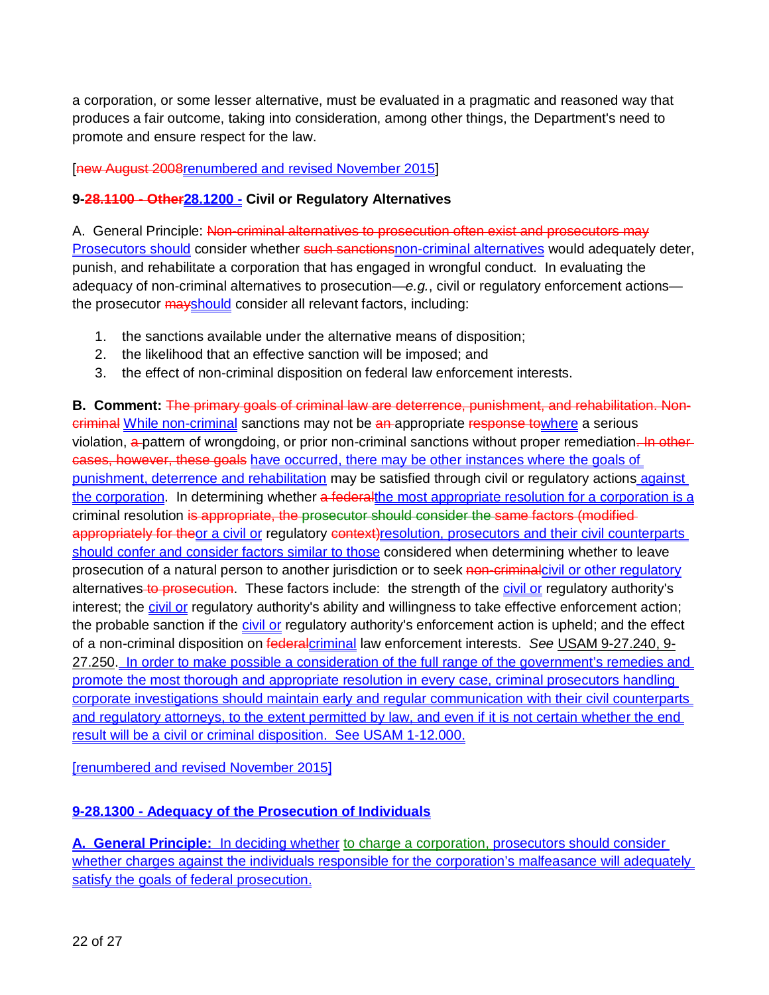a corporation, or some lesser alternative, must be evaluated in a pragmatic and reasoned way that produces a fair outcome, taking into consideration, among other things, the Department's need to promote and ensure respect for the law.

### [new August 2008renumbered and revised November 2015]

### **9-28.1100 - Other28.1200 - Civil or Regulatory Alternatives**

A. General Principle: Non-criminal alternatives to prosecution often exist and prosecutors may Prosecutors should consider whether such sanctionsnon-criminal alternatives would adequately deter, punish, and rehabilitate a corporation that has engaged in wrongful conduct. In evaluating the adequacy of non-criminal alternatives to prosecution—e.g., civil or requiatory enforcement actions the prosecutor **mayshould** consider all relevant factors, including:

- 1. the sanctions available under the alternative means of disposition;
- 2. the likelihood that an effective sanction will be imposed; and
- 3. the effect of non-criminal disposition on federal law enforcement interests.

**B. Comment:** The primary goals of criminal law are deterrence, punishment, and rehabilitation. Noncriminal While non-criminal sanctions may not be an appropriate response towhere a serious violation, a pattern of wrongdoing, or prior non-criminal sanctions without proper remediation. In othercases, however, these goals have occurred, there may be other instances where the goals of punishment, deterrence and rehabilitation may be satisfied through civil or regulatory actions against the corporation. In determining whether a federalthe most appropriate resolution for a corporation is a criminal resolution is appropriate, the prosecutor should consider the same factors (modifiedappropriately for theor a civil or regulatory context)resolution, prosecutors and their civil counterparts should confer and consider factors similar to those considered when determining whether to leave prosecution of a natural person to another jurisdiction or to seek non-criminalcivil or other regulatory alternatives to prosecution. These factors include: the strength of the civil or regulatory authority's interest; the *civil or regulatory authority's ability and willingness to take effective enforcement action*; the probable sanction if the civil or regulatory authority's enforcement action is upheld; and the effect of a non-criminal disposition on federalcriminal law enforcement interests. See USAM 9-27.240, 9-27.250. In order to make possible a consideration of the full range of the government's remedies and promote the most thorough and appropriate resolution in every case, criminal prosecutors handling corporate investigations should maintain early and regular communication with their civil counterparts and regulatory attorneys, to the extent permitted by law, and even if it is not certain whether the end result will be a civil or criminal disposition. See USAM 1-12.000.

[renumbered and revised November 2015]

## **9-28.1300 - Adequacy of the Prosecution of Individuals**

**A. General Principle:** In deciding whether to charge a corporation, prosecutors should consider whether charges against the individuals responsible for the corporation's malfeasance will adequately satisfy the goals of federal prosecution.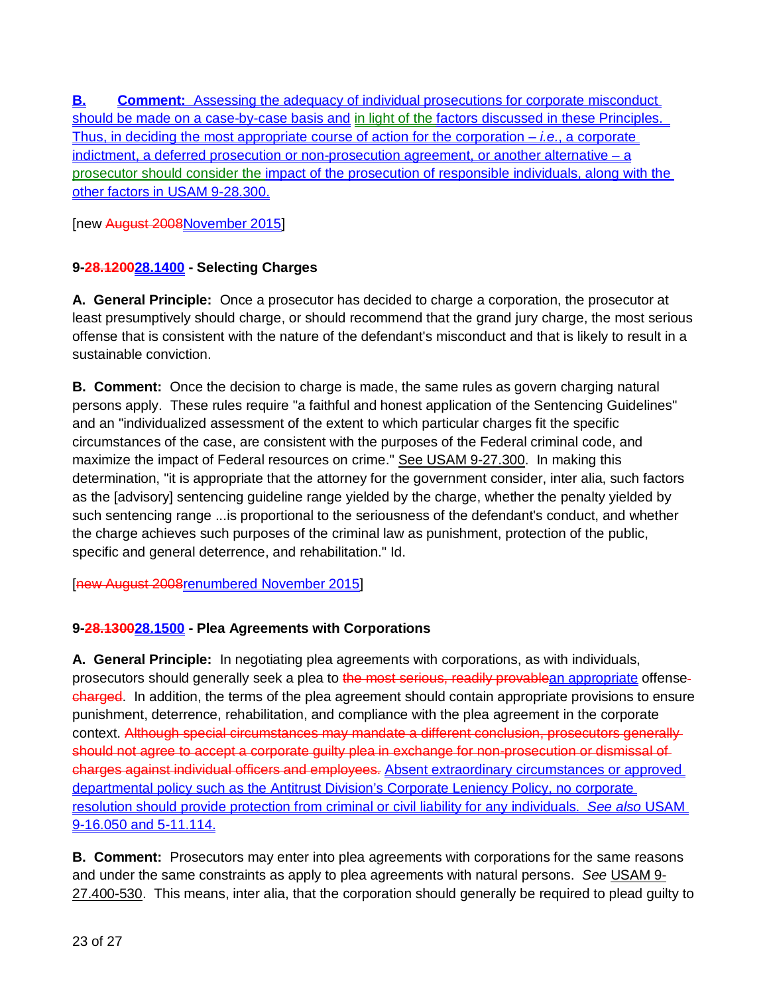**B. Comment:** Assessing the adequacy of individual prosecutions for corporate misconduct should be made on a case-by-case basis and in light of the factors discussed in these Principles. Thus, in deciding the most appropriate course of action for the corporation  $-i.e.,$  a corporate indictment, a deferred prosecution or non-prosecution agreement, or another alternative – a prosecutor should consider the impact of the prosecution of responsible individuals, along with the other factors in USAM 9-28.300.

[new August 2008November 2015]

## **9-28.120028.1400 - Selecting Charges**

**A. General Principle:** Once a prosecutor has decided to charge a corporation, the prosecutor at least presumptively should charge, or should recommend that the grand jury charge, the most serious offense that is consistent with the nature of the defendant's misconduct and that is likely to result in a sustainable conviction.

**B. Comment:** Once the decision to charge is made, the same rules as govern charging natural persons apply. These rules require "a faithful and honest application of the Sentencing Guidelines" and an "individualized assessment of the extent to which particular charges fit the specific circumstances of the case, are consistent with the purposes of the Federal criminal code, and maximize the impact of Federal resources on crime." See USAM 9-27.300. In making this determination, "it is appropriate that the attorney for the government consider, inter alia, such factors as the [advisory] sentencing guideline range yielded by the charge, whether the penalty yielded by such sentencing range ...is proportional to the seriousness of the defendant's conduct, and whether the charge achieves such purposes of the criminal law as punishment, protection of the public, specific and general deterrence, and rehabilitation." Id.

[new August 2008renumbered November 2015]

## **9-28.130028.1500 - Plea Agreements with Corporations**

**A. General Principle:** In negotiating plea agreements with corporations, as with individuals, prosecutors should generally seek a plea to the most serious, readily provablean appropriate offensecharged. In addition, the terms of the plea agreement should contain appropriate provisions to ensure punishment, deterrence, rehabilitation, and compliance with the plea agreement in the corporate context. Although special circumstances may mandate a different conclusion, prosecutors generally should not agree to accept a corporate guilty plea in exchange for non-prosecution or dismissal of charges against individual officers and employees. Absent extraordinary circumstances or approved departmental policy such as the Antitrust Division's Corporate Leniency Policy, no corporate resolution should provide protection from criminal or civil liability for any individuals. See also USAM 9-16.050 and 5-11.114.

**B. Comment:** Prosecutors may enter into plea agreements with corporations for the same reasons and under the same constraints as apply to plea agreements with natural persons. See USAM 9-27.400-530. This means, inter alia, that the corporation should generally be required to plead guilty to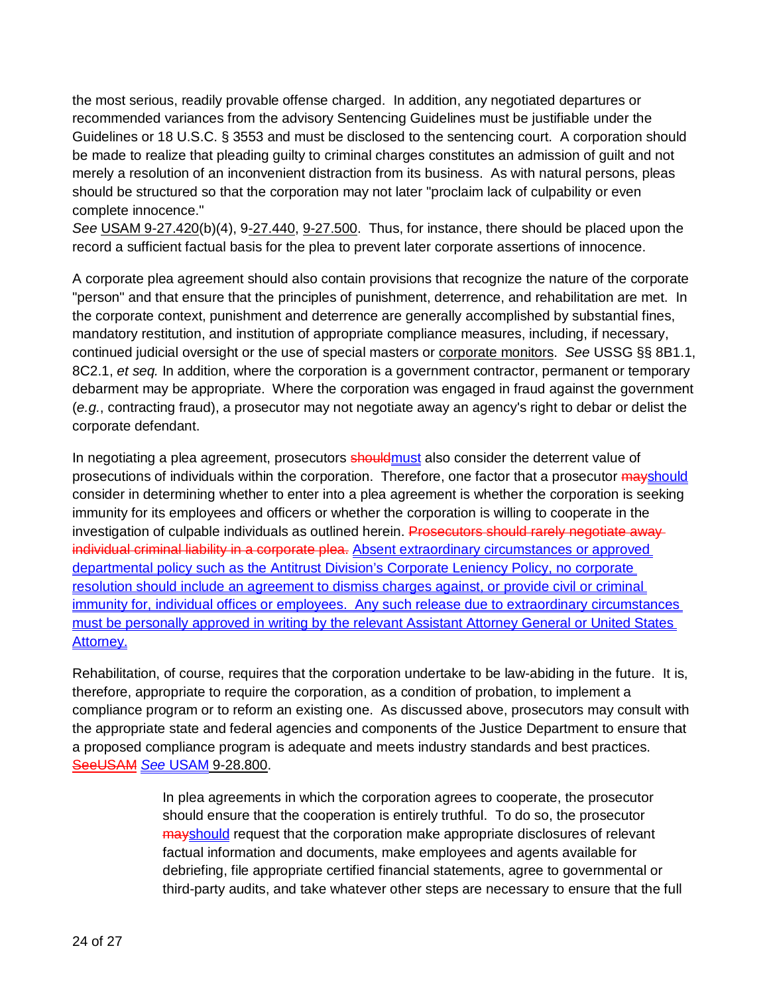the most serious, readily provable offense charged. In addition, any negotiated departures or recommended variances from the advisory Sentencing Guidelines must be justifiable under the Guidelines or 18 U.S.C. § 3553 and must be disclosed to the sentencing court. A corporation should be made to realize that pleading guilty to criminal charges constitutes an admission of guilt and not merely a resolution of an inconvenient distraction from its business. As with natural persons, pleas should be structured so that the corporation may not later "proclaim lack of culpability or even complete innocence."

See USAM 9-27.420(b)(4), 9-27.440, 9-27.500. Thus, for instance, there should be placed upon the record a sufficient factual basis for the plea to prevent later corporate assertions of innocence.

A corporate plea agreement should also contain provisions that recognize the nature of the corporate "person" and that ensure that the principles of punishment, deterrence, and rehabilitation are met. In the corporate context, punishment and deterrence are generally accomplished by substantial fines, mandatory restitution, and institution of appropriate compliance measures, including, if necessary, continued judicial oversight or the use of special masters or corporate monitors. See USSG §§ 8B1.1, 8C2.1, et seq. In addition, where the corporation is a government contractor, permanent or temporary debarment may be appropriate. Where the corporation was engaged in fraud against the government (e.g., contracting fraud), a prosecutor may not negotiate away an agency's right to debar or delist the corporate defendant.

In negotiating a plea agreement, prosecutors should must also consider the deterrent value of prosecutions of individuals within the corporation. Therefore, one factor that a prosecutor mayshould consider in determining whether to enter into a plea agreement is whether the corporation is seeking immunity for its employees and officers or whether the corporation is willing to cooperate in the investigation of culpable individuals as outlined herein. Prosecutors should rarely negotiate away individual criminal liability in a corporate plea. Absent extraordinary circumstances or approved departmental policy such as the Antitrust Division's Corporate Leniency Policy, no corporate resolution should include an agreement to dismiss charges against, or provide civil or criminal immunity for, individual offices or employees. Any such release due to extraordinary circumstances must be personally approved in writing by the relevant Assistant Attorney General or United States Attorney.

Rehabilitation, of course, requires that the corporation undertake to be law-abiding in the future. It is, therefore, appropriate to require the corporation, as a condition of probation, to implement a compliance program or to reform an existing one. As discussed above, prosecutors may consult with the appropriate state and federal agencies and components of the Justice Department to ensure that a proposed compliance program is adequate and meets industry standards and best practices. SeeUSAM See USAM 9-28.800.

> In plea agreements in which the corporation agrees to cooperate, the prosecutor should ensure that the cooperation is entirely truthful. To do so, the prosecutor **mayshould** request that the corporation make appropriate disclosures of relevant factual information and documents, make employees and agents available for debriefing, file appropriate certified financial statements, agree to governmental or third-party audits, and take whatever other steps are necessary to ensure that the full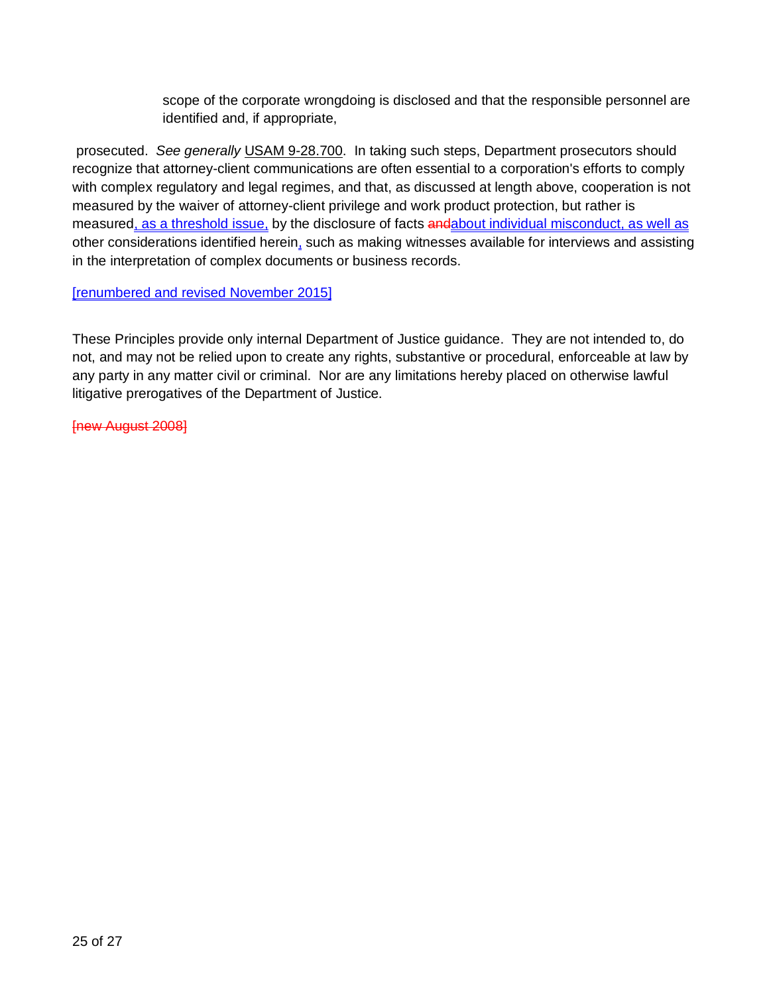scope of the corporate wrongdoing is disclosed and that the responsible personnel are identified and, if appropriate,

 prosecuted. See generally USAM 9-28.700. In taking such steps, Department prosecutors should recognize that attorney-client communications are often essential to a corporation's efforts to comply with complex regulatory and legal regimes, and that, as discussed at length above, cooperation is not measured by the waiver of attorney-client privilege and work product protection, but rather is measured, as a threshold issue, by the disclosure of facts andabout individual misconduct, as well as other considerations identified herein, such as making witnesses available for interviews and assisting in the interpretation of complex documents or business records.

[renumbered and revised November 2015]

These Principles provide only internal Department of Justice guidance. They are not intended to, do not, and may not be relied upon to create any rights, substantive or procedural, enforceable at law by any party in any matter civil or criminal. Nor are any limitations hereby placed on otherwise lawful litigative prerogatives of the Department of Justice.

[new August 2008]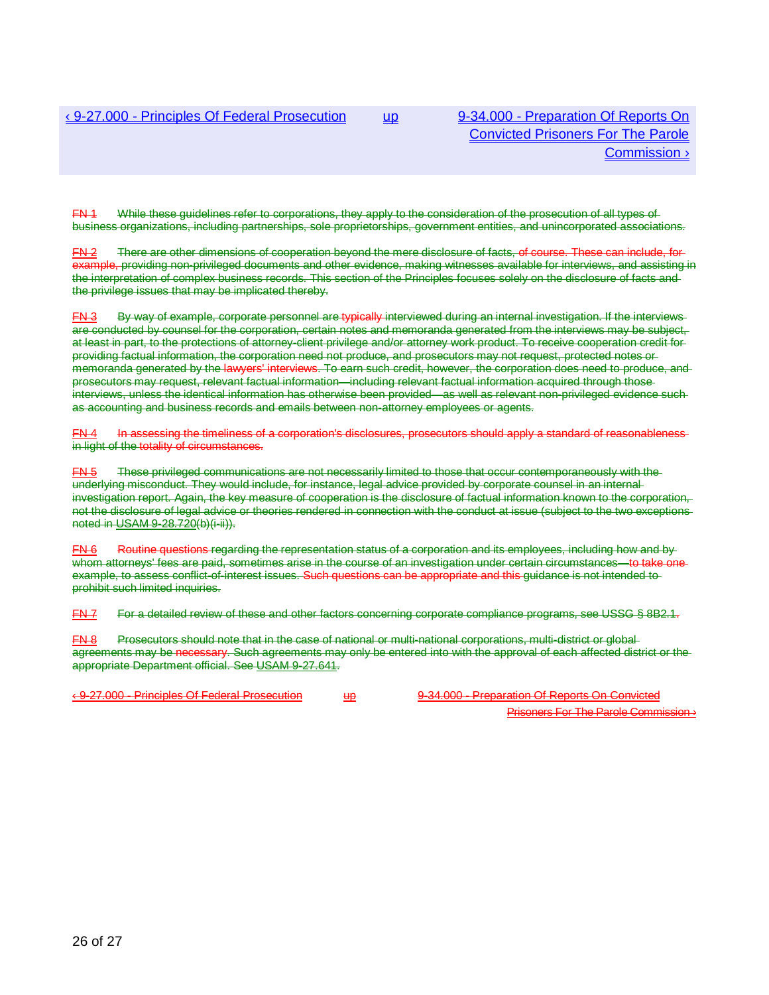# Convicted Prisoners For The Parole Commission >

FN 1 While these guidelines refer to corporations, they apply to the consideration of the prosecution of all types of business organizations, including partnerships, sole proprietorships, government entities, and unincorporated associations.

FN 2 There are other dimensions of cooperation beyond the mere disclosure of facts, of course. These can include, for example, providing non-privileged documents and other evidence, making witnesses available for interviews, and assisting in the interpretation of complex business records. This section of the Principles focuses solely on the disclosure of facts and the privilege issues that may be implicated thereby.

FN 3 By way of example, corporate personnel are typically interviewed during an internal investigation. If the interviewsare conducted by counsel for the corporation, certain notes and memoranda generated from the interviews may be subject, at least in part, to the protections of attorney-client privilege and/or attorney work product. To receive cooperation credit for providing factual information, the corporation need not produce, and prosecutors may not request, protected notes or memoranda generated by the lawyers' interviews. To earn such credit, however, the corporation does need to produce, and prosecutors may request, relevant factual information—including relevant factual information acquired through those interviews, unless the identical information has otherwise been provided—as well as relevant non-privileged evidence such as accounting and business records and emails between non-attorney employees or agents.

FN 4 In assessing the timeliness of a corporation's disclosures, prosecutors should apply a standard of reasonableness in light of the totality of circumstances.

FN 5 These privileged communications are not necessarily limited to those that occur contemporaneously with the underlying misconduct. They would include, for instance, legal advice provided by corporate counsel in an internal investigation report. Again, the key measure of cooperation is the disclosure of factual information known to the corporation, not the disclosure of legal advice or theories rendered in connection with the conduct at issue (subject to the two exceptions noted in USAM 9-28.720(b)(i-ii)).

FN 6 Routine questions regarding the representation status of a corporation and its employees, including how and by whom attorneys' fees are paid, sometimes arise in the course of an investigation under certain circumstances—to take example, to assess conflict-of-interest issues. Such questions can be appropriate and this quidance is not intended to prohibit such limited inquiries.

FN 7 For a detailed review of these and other factors concerning corporate compliance programs, see USSG § 8B2.1.

FN 8 Prosecutors should note that in the case of national or multi-national corporations, multi-district or global agreements may be necessary. Such agreements may only be entered into with the approval of each affected district or the appropriate Department official. See USAM 9-27.641.

‹ 9-27.000 - Principles Of Federal Prosecution up 9-34.000 - Preparation Of Reports On Convicted

Prisoners For The Parole Commission ›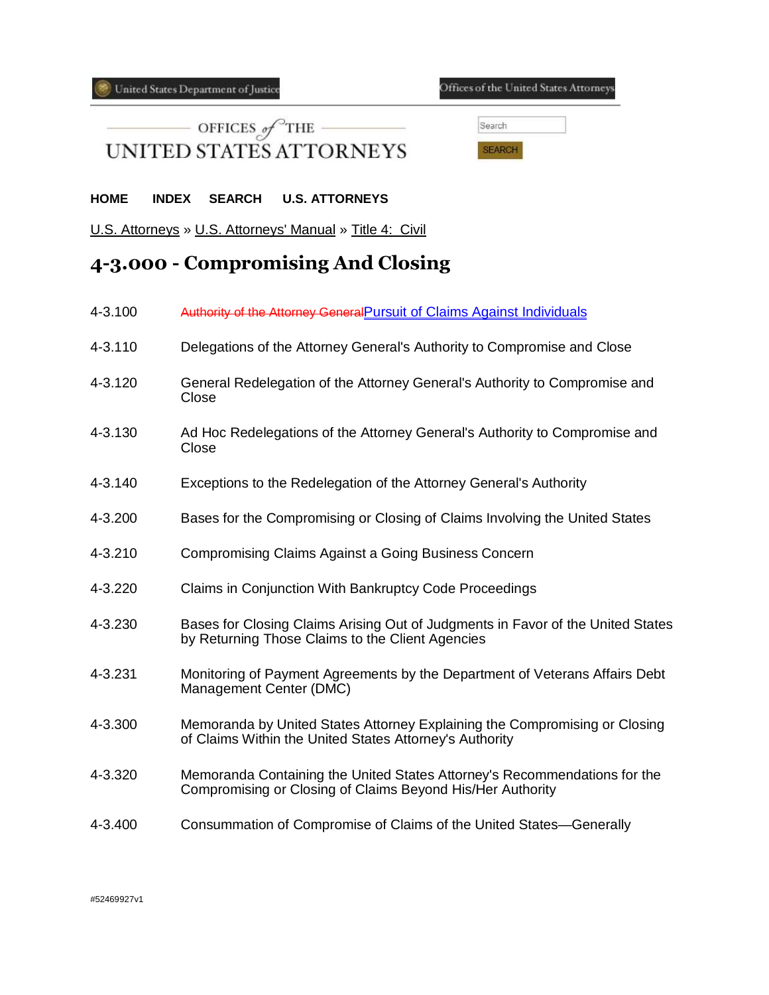|  |  | Offices of the United States Attorneys |
|--|--|----------------------------------------|
|  |  |                                        |
|  |  |                                        |



| ì<br>ï<br>ì |  |
|-------------|--|
|             |  |

**HOME INDEX SEARCH U.S. ATTORNEYS** 

U.S. Attorneys » U.S. Attorneys' Manual » Title 4: Civil

# **4-3.000 - Compromising And Closing**

- 4-3.100 Authority of the Attorney GeneralPursuit of Claims Against Individuals
- 4-3.110 Delegations of the Attorney General's Authority to Compromise and Close
- 4-3.120 General Redelegation of the Attorney General's Authority to Compromise and Close
- 4-3.130 Ad Hoc Redelegations of the Attorney General's Authority to Compromise and **Close**
- 4-3.140 Exceptions to the Redelegation of the Attorney General's Authority
- 4-3.200 Bases for the Compromising or Closing of Claims Involving the United States
- 4-3.210 Compromising Claims Against a Going Business Concern
- 4-3.220 Claims in Conjunction With Bankruptcy Code Proceedings
- 4-3.230 Bases for Closing Claims Arising Out of Judgments in Favor of the United States by Returning Those Claims to the Client Agencies
- 4-3.231 Monitoring of Payment Agreements by the Department of Veterans Affairs Debt Management Center (DMC)
- 4-3.300 Memoranda by United States Attorney Explaining the Compromising or Closing of Claims Within the United States Attorney's Authority
- 4-3.320 Memoranda Containing the United States Attorney's Recommendations for the Compromising or Closing of Claims Beyond His/Her Authority
- 4-3.400 Consummation of Compromise of Claims of the United States—Generally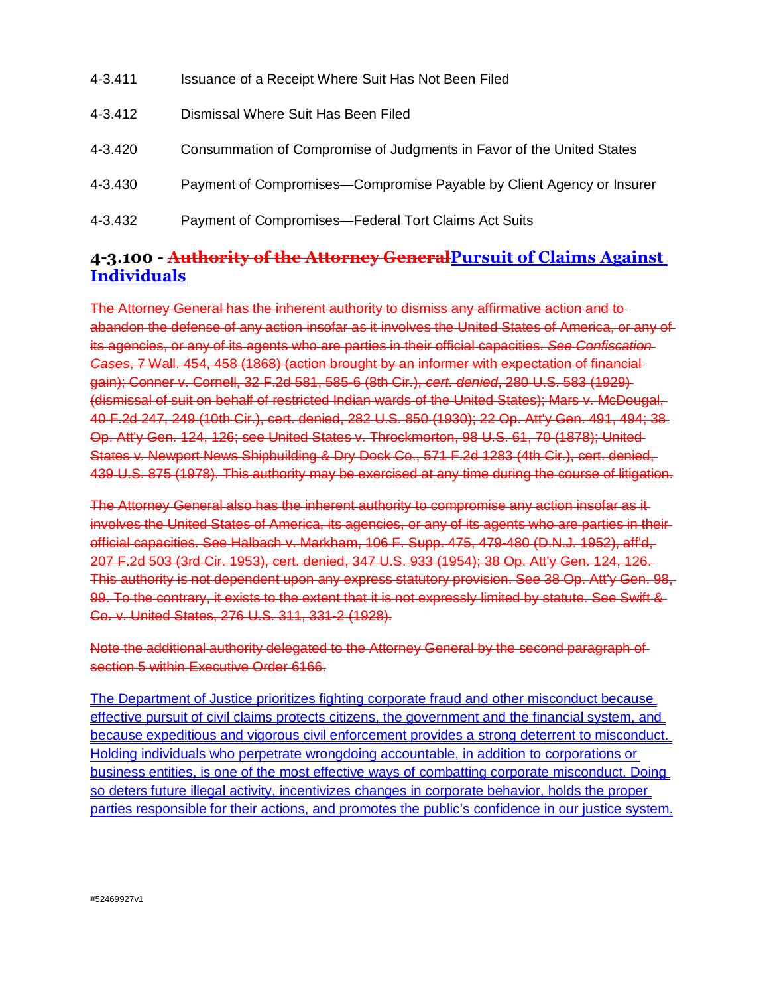| 4-3.411 | Issuance of a Receipt Where Suit Has Not Been Filed                   |
|---------|-----------------------------------------------------------------------|
| 4-3.412 | Dismissal Where Suit Has Been Filed                                   |
| 4-3.420 | Consummation of Compromise of Judgments in Favor of the United States |
| 4-3.430 | Payment of Compromises—Compromise Payable by Client Agency or Insurer |
| 4-3.432 | Payment of Compromises-Federal Tort Claims Act Suits                  |
|         |                                                                       |

# **4-3.100 - Authority of the Attorney GeneralPursuit of Claims Against Individuals**

The Attorney General has the inherent authority to dismiss any affirmative action and to abandon the defense of any action insofar as it involves the United States of America, or any of its agencies, or any of its agents who are parties in their official capacities. See Confiscation Cases, 7 Wall. 454, 458 (1868) (action brought by an informer with expectation of financial gain); Conner v. Cornell, 32 F.2d 581, 585-6 (8th Cir.), cert. denied, 280 U.S. 583 (1929) (dismissal of suit on behalf of restricted Indian wards of the United States); Mars v. McDougal, 40 F.2d 247, 249 (10th Cir.), cert. denied, 282 U.S. 850 (1930); 22 Op. Att'y Gen. 491, 494; 38 Op. Att'y Gen. 124, 126; see United States v. Throckmorton, 98 U.S. 61, 70 (1878); United States v. Newport News Shipbuilding & Dry Dock Co., 571 F.2d 1283 (4th Cir.), cert. denied, 439 U.S. 875 (1978). This authority may be exercised at any time during the course of litigation.

The Attorney General also has the inherent authority to compromise any action insofar as it involves the United States of America, its agencies, or any of its agents who are parties in theirofficial capacities. See Halbach v. Markham, 106 F. Supp. 475, 479-480 (D.N.J. 1952), aff'd, 207 F.2d 503 (3rd Cir. 1953), cert. denied, 347 U.S. 933 (1954); 38 Op. Att'y Gen. 124, 126. This authority is not dependent upon any express statutory provision. See 38 Op. Att'y Gen. 98, 99. To the contrary, it exists to the extent that it is not expressly limited by statute. See Swift & Co. v. United States, 276 U.S. 311, 331-2 (1928).

Note the additional authority delegated to the Attorney General by the second paragraph of section 5 within Executive Order 6166.

The Department of Justice prioritizes fighting corporate fraud and other misconduct because effective pursuit of civil claims protects citizens, the government and the financial system, and because expeditious and vigorous civil enforcement provides a strong deterrent to misconduct. Holding individuals who perpetrate wrongdoing accountable, in addition to corporations or business entities, is one of the most effective ways of combatting corporate misconduct. Doing so deters future illegal activity, incentivizes changes in corporate behavior, holds the proper parties responsible for their actions, and promotes the public's confidence in our justice system.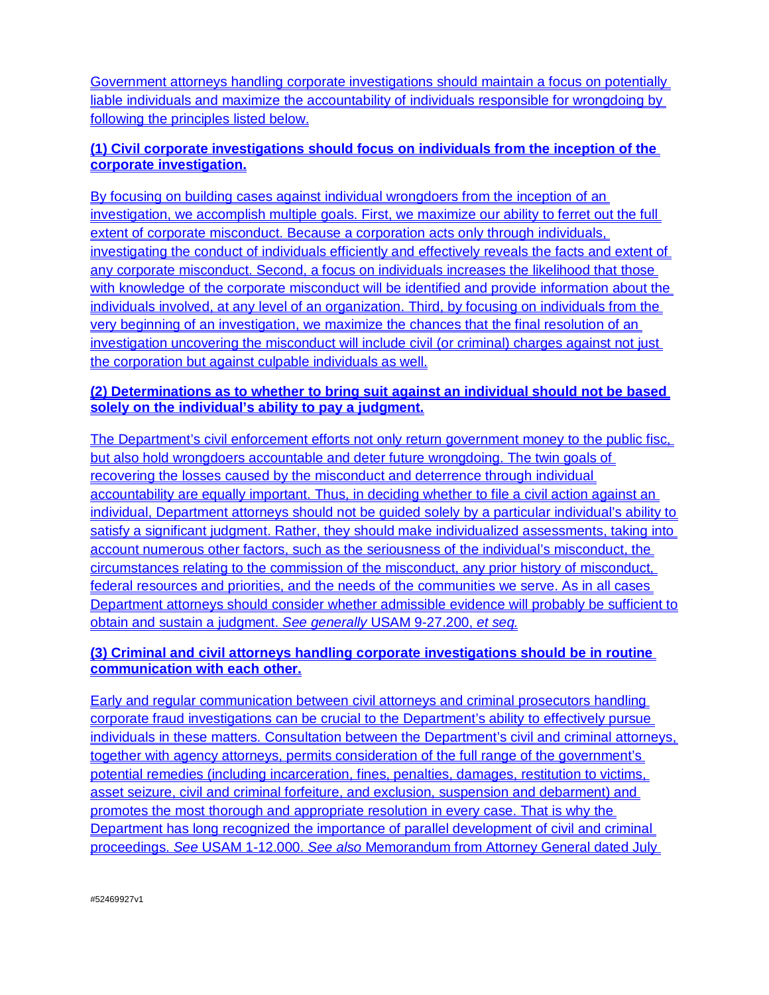Government attorneys handling corporate investigations should maintain a focus on potentially liable individuals and maximize the accountability of individuals responsible for wrongdoing by following the principles listed below.

## **(1) Civil corporate investigations should focus on individuals from the inception of the corporate investigation.**

By focusing on building cases against individual wrongdoers from the inception of an investigation, we accomplish multiple goals. First, we maximize our ability to ferret out the full extent of corporate misconduct. Because a corporation acts only through individuals, investigating the conduct of individuals efficiently and effectively reveals the facts and extent of any corporate misconduct. Second, a focus on individuals increases the likelihood that those with knowledge of the corporate misconduct will be identified and provide information about the individuals involved, at any level of an organization. Third, by focusing on individuals from the very beginning of an investigation, we maximize the chances that the final resolution of an investigation uncovering the misconduct will include civil (or criminal) charges against not just the corporation but against culpable individuals as well.

### **(2) Determinations as to whether to bring suit against an individual should not be based solely on the individual's ability to pay a judgment.**

The Department's civil enforcement efforts not only return government money to the public fisc, but also hold wrongdoers accountable and deter future wrongdoing. The twin goals of recovering the losses caused by the misconduct and deterrence through individual accountability are equally important. Thus, in deciding whether to file a civil action against an individual, Department attorneys should not be guided solely by a particular individual's ability to satisfy a significant judgment. Rather, they should make individualized assessments, taking into account numerous other factors, such as the seriousness of the individual's misconduct, the circumstances relating to the commission of the misconduct, any prior history of misconduct, federal resources and priorities, and the needs of the communities we serve. As in all cases Department attorneys should consider whether admissible evidence will probably be sufficient to obtain and sustain a judgment. See generally USAM 9-27.200, et seq.

## **(3) Criminal and civil attorneys handling corporate investigations should be in routine communication with each other.**

Early and regular communication between civil attorneys and criminal prosecutors handling corporate fraud investigations can be crucial to the Department's ability to effectively pursue individuals in these matters. Consultation between the Department's civil and criminal attorneys, together with agency attorneys, permits consideration of the full range of the government's potential remedies (including incarceration, fines, penalties, damages, restitution to victims, asset seizure, civil and criminal forfeiture, and exclusion, suspension and debarment) and promotes the most thorough and appropriate resolution in every case. That is why the Department has long recognized the importance of parallel development of civil and criminal proceedings. See USAM 1-12.000. See also Memorandum from Attorney General dated July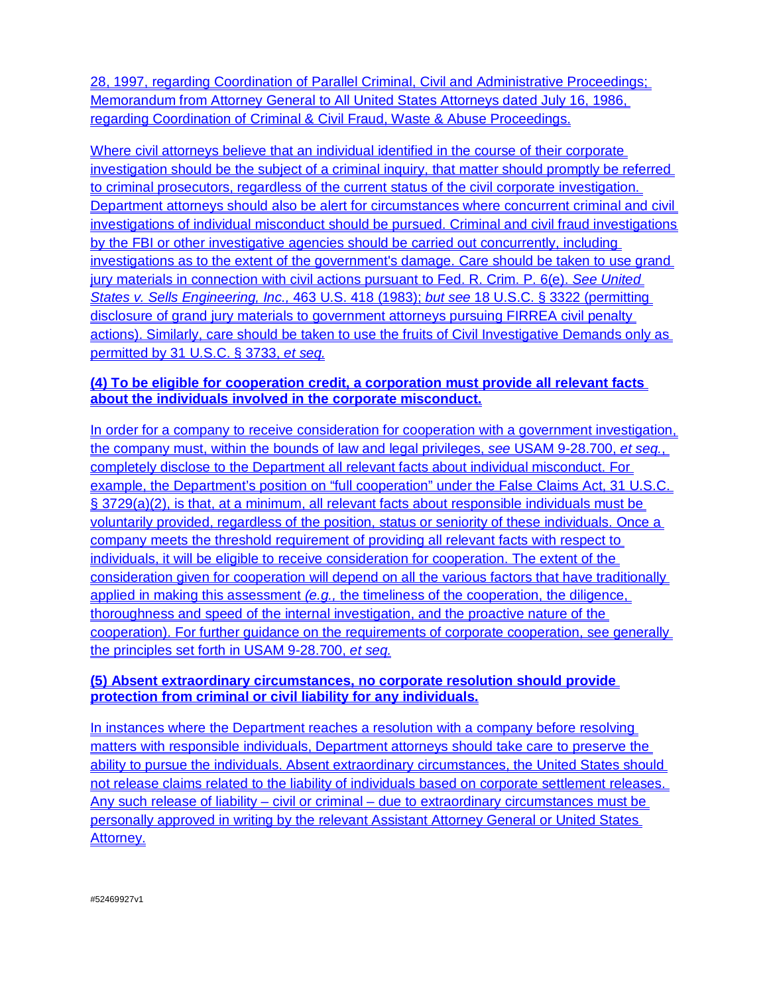28, 1997, regarding Coordination of Parallel Criminal, Civil and Administrative Proceedings; Memorandum from Attorney General to All United States Attorneys dated July 16, 1986, regarding Coordination of Criminal & Civil Fraud, Waste & Abuse Proceedings.

Where civil attorneys believe that an individual identified in the course of their corporate investigation should be the subject of a criminal inquiry, that matter should promptly be referred to criminal prosecutors, regardless of the current status of the civil corporate investigation. Department attorneys should also be alert for circumstances where concurrent criminal and civil investigations of individual misconduct should be pursued. Criminal and civil fraud investigations by the FBI or other investigative agencies should be carried out concurrently, including investigations as to the extent of the government's damage. Care should be taken to use grand jury materials in connection with civil actions pursuant to Fed. R. Crim. P. 6(e). See United States v. Sells Engineering, Inc., 463 U.S. 418 (1983); but see 18 U.S.C. § 3322 (permitting disclosure of grand jury materials to government attorneys pursuing FIRREA civil penalty actions). Similarly, care should be taken to use the fruits of Civil Investigative Demands only as permitted by 31 U.S.C. § 3733, et seq.

### **(4) To be eligible for cooperation credit, a corporation must provide all relevant facts about the individuals involved in the corporate misconduct.**

In order for a company to receive consideration for cooperation with a government investigation, the company must, within the bounds of law and legal privileges, see USAM 9-28.700, et seq., completely disclose to the Department all relevant facts about individual misconduct. For example, the Department's position on "full cooperation" under the False Claims Act, 31 U.S.C. § 3729(a)(2), is that, at a minimum, all relevant facts about responsible individuals must be voluntarily provided, regardless of the position, status or seniority of these individuals. Once a company meets the threshold requirement of providing all relevant facts with respect to individuals, it will be eligible to receive consideration for cooperation. The extent of the consideration given for cooperation will depend on all the various factors that have traditionally applied in making this assessment (e.g., the timeliness of the cooperation, the diligence, thoroughness and speed of the internal investigation, and the proactive nature of the cooperation). For further guidance on the requirements of corporate cooperation, see generally the principles set forth in USAM 9-28.700, et seq.

### **(5) Absent extraordinary circumstances, no corporate resolution should provide protection from criminal or civil liability for any individuals.**

In instances where the Department reaches a resolution with a company before resolving matters with responsible individuals, Department attorneys should take care to preserve the ability to pursue the individuals. Absent extraordinary circumstances, the United States should not release claims related to the liability of individuals based on corporate settlement releases. Any such release of liability – civil or criminal – due to extraordinary circumstances must be personally approved in writing by the relevant Assistant Attorney General or United States Attorney.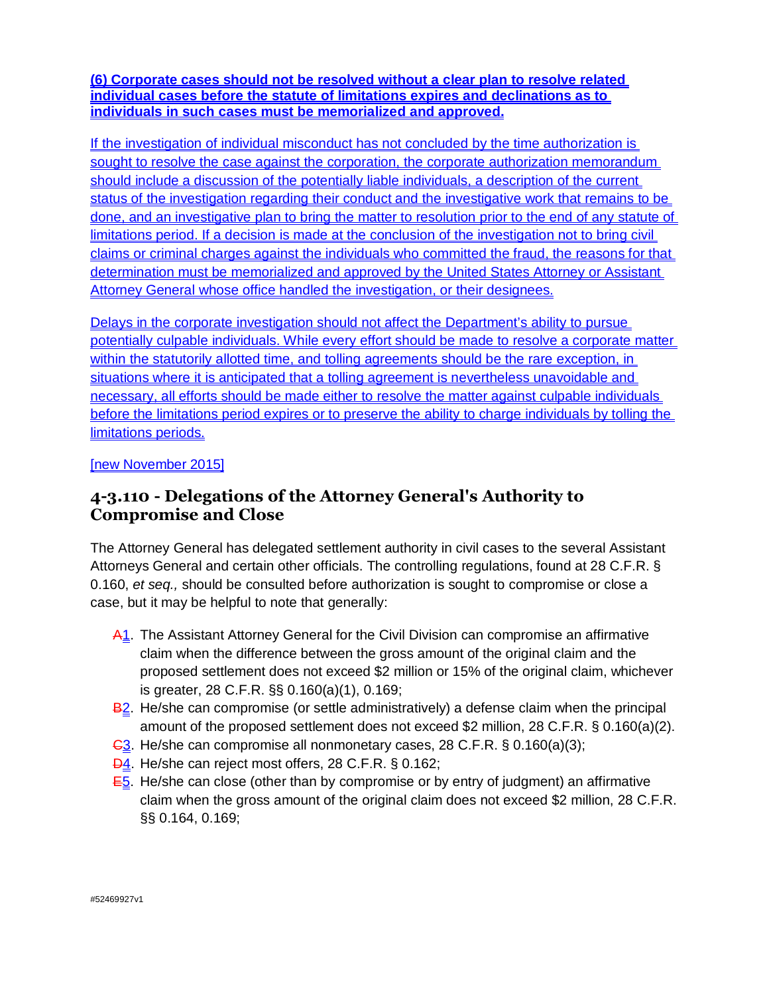**(6) Corporate cases should not be resolved without a clear plan to resolve related individual cases before the statute of limitations expires and declinations as to individuals in such cases must be memorialized and approved.** 

If the investigation of individual misconduct has not concluded by the time authorization is sought to resolve the case against the corporation, the corporate authorization memorandum should include a discussion of the potentially liable individuals, a description of the current status of the investigation regarding their conduct and the investigative work that remains to be done, and an investigative plan to bring the matter to resolution prior to the end of any statute of limitations period. If a decision is made at the conclusion of the investigation not to bring civil claims or criminal charges against the individuals who committed the fraud, the reasons for that determination must be memorialized and approved by the United States Attorney or Assistant Attorney General whose office handled the investigation, or their designees.

Delays in the corporate investigation should not affect the Department's ability to pursue potentially culpable individuals. While every effort should be made to resolve a corporate matter within the statutorily allotted time, and tolling agreements should be the rare exception, in situations where it is anticipated that a tolling agreement is nevertheless unavoidable and necessary, all efforts should be made either to resolve the matter against culpable individuals before the limitations period expires or to preserve the ability to charge individuals by tolling the limitations periods.

### [new November 2015]

## **4-3.110 - Delegations of the Attorney General's Authority to Compromise and Close**

The Attorney General has delegated settlement authority in civil cases to the several Assistant Attorneys General and certain other officials. The controlling regulations, found at 28 C.F.R. § 0.160, et seq., should be consulted before authorization is sought to compromise or close a case, but it may be helpful to note that generally:

- A<sub>1</sub>. The Assistant Attorney General for the Civil Division can compromise an affirmative claim when the difference between the gross amount of the original claim and the proposed settlement does not exceed \$2 million or 15% of the original claim, whichever is greater, 28 C.F.R. §§ 0.160(a)(1), 0.169;
- $B2$ . He/she can compromise (or settle administratively) a defense claim when the principal amount of the proposed settlement does not exceed \$2 million, 28 C.F.R. § 0.160(a)(2).
- $\frac{C_3}{C_2}$ . He/she can compromise all nonmonetary cases, 28 C.F.R. § 0.160(a)(3);
- **D4**. He/she can reject most offers, 28 C.F.R. § 0.162;
- $E_5$ . He/she can close (other than by compromise or by entry of judgment) an affirmative claim when the gross amount of the original claim does not exceed \$2 million, 28 C.F.R. §§ 0.164, 0.169;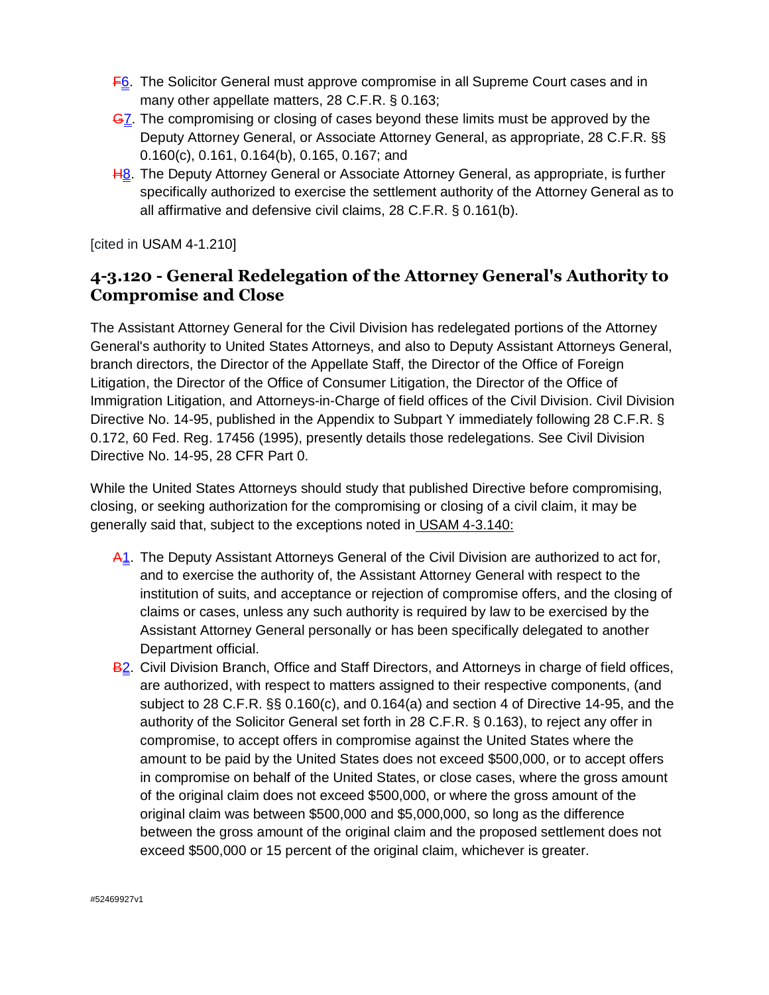- F<sub>6</sub>. The Solicitor General must approve compromise in all Supreme Court cases and in many other appellate matters, 28 C.F.R. § 0.163;
- G7. The compromising or closing of cases beyond these limits must be approved by the Deputy Attorney General, or Associate Attorney General, as appropriate, 28 C.F.R. §§ 0.160(c), 0.161, 0.164(b), 0.165, 0.167; and
- **H8.** The Deputy Attorney General or Associate Attorney General, as appropriate, is further specifically authorized to exercise the settlement authority of the Attorney General as to all affirmative and defensive civil claims, 28 C.F.R. § 0.161(b).

[cited in USAM 4-1.210]

## **4-3.120 - General Redelegation of the Attorney General's Authority to Compromise and Close**

The Assistant Attorney General for the Civil Division has redelegated portions of the Attorney General's authority to United States Attorneys, and also to Deputy Assistant Attorneys General, branch directors, the Director of the Appellate Staff, the Director of the Office of Foreign Litigation, the Director of the Office of Consumer Litigation, the Director of the Office of Immigration Litigation, and Attorneys-in-Charge of field offices of the Civil Division. Civil Division Directive No. 14-95, published in the Appendix to Subpart Y immediately following 28 C.F.R. § 0.172, 60 Fed. Reg. 17456 (1995), presently details those redelegations. See Civil Division Directive No. 14-95, 28 CFR Part 0.

While the United States Attorneys should study that published Directive before compromising, closing, or seeking authorization for the compromising or closing of a civil claim, it may be generally said that, subject to the exceptions noted in USAM 4-3.140:

- A1. The Deputy Assistant Attorneys General of the Civil Division are authorized to act for, and to exercise the authority of, the Assistant Attorney General with respect to the institution of suits, and acceptance or rejection of compromise offers, and the closing of claims or cases, unless any such authority is required by law to be exercised by the Assistant Attorney General personally or has been specifically delegated to another Department official.
- B<sub>2</sub>. Civil Division Branch, Office and Staff Directors, and Attorneys in charge of field offices, are authorized, with respect to matters assigned to their respective components, (and subject to 28 C.F.R. §§ 0.160(c), and 0.164(a) and section 4 of Directive 14-95, and the authority of the Solicitor General set forth in 28 C.F.R. § 0.163), to reject any offer in compromise, to accept offers in compromise against the United States where the amount to be paid by the United States does not exceed \$500,000, or to accept offers in compromise on behalf of the United States, or close cases, where the gross amount of the original claim does not exceed \$500,000, or where the gross amount of the original claim was between \$500,000 and \$5,000,000, so long as the difference between the gross amount of the original claim and the proposed settlement does not exceed \$500,000 or 15 percent of the original claim, whichever is greater.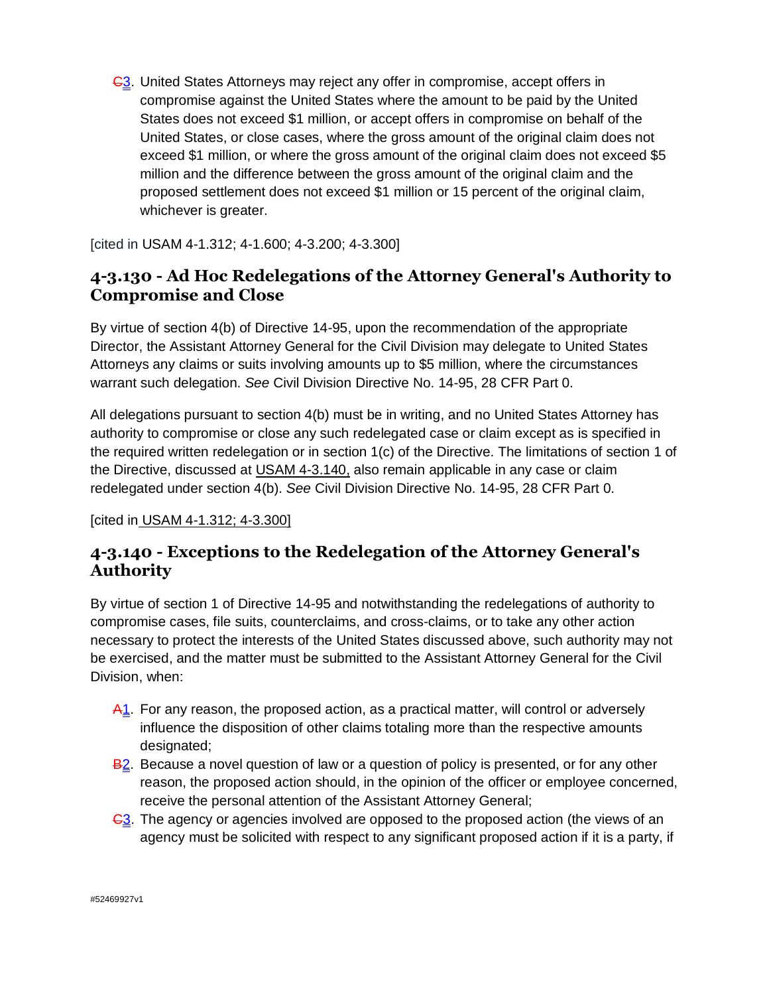63. United States Attorneys may reject any offer in compromise, accept offers in compromise against the United States where the amount to be paid by the United States does not exceed \$1 million, or accept offers in compromise on behalf of the United States, or close cases, where the gross amount of the original claim does not exceed \$1 million, or where the gross amount of the original claim does not exceed \$5 million and the difference between the gross amount of the original claim and the proposed settlement does not exceed \$1 million or 15 percent of the original claim, whichever is greater.

[cited in USAM 4-1.312; 4-1.600; 4-3.200; 4-3.300]

## **4-3.130 - Ad Hoc Redelegations of the Attorney General's Authority to Compromise and Close**

By virtue of section 4(b) of Directive 14-95, upon the recommendation of the appropriate Director, the Assistant Attorney General for the Civil Division may delegate to United States Attorneys any claims or suits involving amounts up to \$5 million, where the circumstances warrant such delegation. See Civil Division Directive No. 14-95, 28 CFR Part 0.

All delegations pursuant to section 4(b) must be in writing, and no United States Attorney has authority to compromise or close any such redelegated case or claim except as is specified in the required written redelegation or in section 1(c) of the Directive. The limitations of section 1 of the Directive, discussed at USAM 4-3.140, also remain applicable in any case or claim redelegated under section 4(b). See Civil Division Directive No. 14-95, 28 CFR Part 0.

[cited in USAM 4-1.312; 4-3.300]

# **4-3.140 - Exceptions to the Redelegation of the Attorney General's Authority**

By virtue of section 1 of Directive 14-95 and notwithstanding the redelegations of authority to compromise cases, file suits, counterclaims, and cross-claims, or to take any other action necessary to protect the interests of the United States discussed above, such authority may not be exercised, and the matter must be submitted to the Assistant Attorney General for the Civil Division, when:

- A1. For any reason, the proposed action, as a practical matter, will control or adversely influence the disposition of other claims totaling more than the respective amounts designated;
- B<sub>2</sub>. Because a novel question of law or a question of policy is presented, or for any other reason, the proposed action should, in the opinion of the officer or employee concerned, receive the personal attention of the Assistant Attorney General;
- 63. The agency or agencies involved are opposed to the proposed action (the views of an agency must be solicited with respect to any significant proposed action if it is a party, if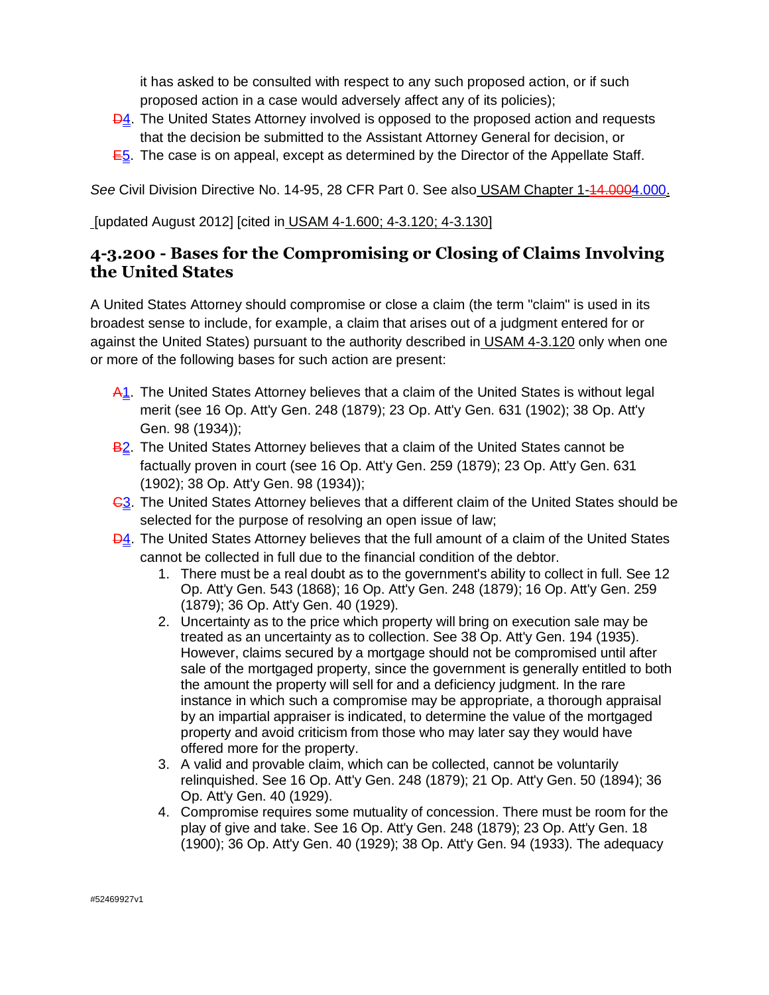it has asked to be consulted with respect to any such proposed action, or if such proposed action in a case would adversely affect any of its policies);

- $\overline{D4}$ . The United States Attorney involved is opposed to the proposed action and requests that the decision be submitted to the Assistant Attorney General for decision, or
- $E$ 5. The case is on appeal, except as determined by the Director of the Appellate Staff.

See Civil Division Directive No. 14-95, 28 CFR Part 0. See also USAM Chapter 1-44.0004.000.

[updated August 2012] [cited in USAM 4-1.600; 4-3.120; 4-3.130]

# **4-3.200 - Bases for the Compromising or Closing of Claims Involving the United States**

A United States Attorney should compromise or close a claim (the term "claim" is used in its broadest sense to include, for example, a claim that arises out of a judgment entered for or against the United States) pursuant to the authority described in USAM 4-3.120 only when one or more of the following bases for such action are present:

- A<sub>1</sub>. The United States Attorney believes that a claim of the United States is without legal merit (see 16 Op. Att'y Gen. 248 (1879); 23 Op. Att'y Gen. 631 (1902); 38 Op. Att'y Gen. 98 (1934));
- B<sub>2</sub>. The United States Attorney believes that a claim of the United States cannot be factually proven in court (see 16 Op. Att'y Gen. 259 (1879); 23 Op. Att'y Gen. 631 (1902); 38 Op. Att'y Gen. 98 (1934));
- G<sub>3</sub>. The United States Attorney believes that a different claim of the United States should be selected for the purpose of resolving an open issue of law;
- $\overline{D4}$ . The United States Attorney believes that the full amount of a claim of the United States cannot be collected in full due to the financial condition of the debtor.
	- 1. There must be a real doubt as to the government's ability to collect in full. See 12 Op. Att'y Gen. 543 (1868); 16 Op. Att'y Gen. 248 (1879); 16 Op. Att'y Gen. 259 (1879); 36 Op. Att'y Gen. 40 (1929).
	- 2. Uncertainty as to the price which property will bring on execution sale may be treated as an uncertainty as to collection. See 38 Op. Att'y Gen. 194 (1935). However, claims secured by a mortgage should not be compromised until after sale of the mortgaged property, since the government is generally entitled to both the amount the property will sell for and a deficiency judgment. In the rare instance in which such a compromise may be appropriate, a thorough appraisal by an impartial appraiser is indicated, to determine the value of the mortgaged property and avoid criticism from those who may later say they would have offered more for the property.
	- 3. A valid and provable claim, which can be collected, cannot be voluntarily relinquished. See 16 Op. Att'y Gen. 248 (1879); 21 Op. Att'y Gen. 50 (1894); 36 Op. Att'y Gen. 40 (1929).
	- 4. Compromise requires some mutuality of concession. There must be room for the play of give and take. See 16 Op. Att'y Gen. 248 (1879); 23 Op. Att'y Gen. 18 (1900); 36 Op. Att'y Gen. 40 (1929); 38 Op. Att'y Gen. 94 (1933). The adequacy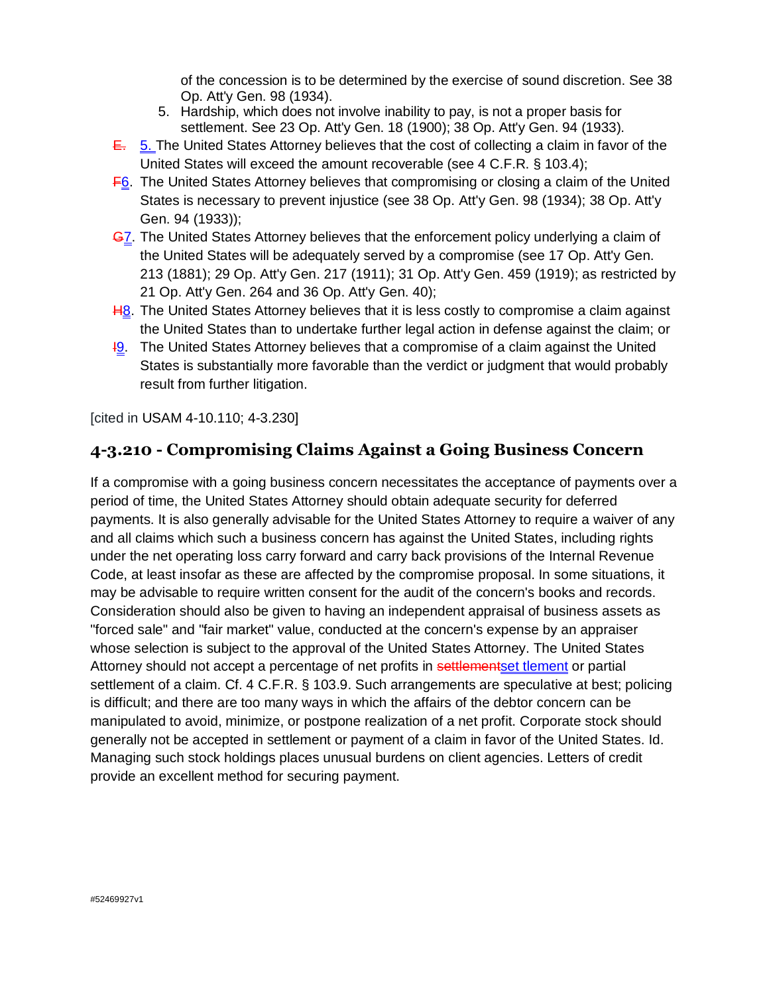of the concession is to be determined by the exercise of sound discretion. See 38 Op. Att'y Gen. 98 (1934).

- 5. Hardship, which does not involve inability to pay, is not a proper basis for settlement. See 23 Op. Att'y Gen. 18 (1900); 38 Op. Att'y Gen. 94 (1933).
- $\overline{E}$ . 5. The United States Attorney believes that the cost of collecting a claim in favor of the United States will exceed the amount recoverable (see 4 C.F.R. § 103.4);
- $F_6$ . The United States Attorney believes that compromising or closing a claim of the United States is necessary to prevent injustice (see 38 Op. Att'y Gen. 98 (1934); 38 Op. Att'y Gen. 94 (1933));
- G7. The United States Attorney believes that the enforcement policy underlying a claim of the United States will be adequately served by a compromise (see 17 Op. Att'y Gen. 213 (1881); 29 Op. Att'y Gen. 217 (1911); 31 Op. Att'y Gen. 459 (1919); as restricted by 21 Op. Att'y Gen. 264 and 36 Op. Att'y Gen. 40);
- $H_0$ . The United States Attorney believes that it is less costly to compromise a claim against the United States than to undertake further legal action in defense against the claim; or
- I9. The United States Attorney believes that a compromise of a claim against the United States is substantially more favorable than the verdict or judgment that would probably result from further litigation.

[cited in USAM 4-10.110; 4-3.230]

# **4-3.210 - Compromising Claims Against a Going Business Concern**

If a compromise with a going business concern necessitates the acceptance of payments over a period of time, the United States Attorney should obtain adequate security for deferred payments. It is also generally advisable for the United States Attorney to require a waiver of any and all claims which such a business concern has against the United States, including rights under the net operating loss carry forward and carry back provisions of the Internal Revenue Code, at least insofar as these are affected by the compromise proposal. In some situations, it may be advisable to require written consent for the audit of the concern's books and records. Consideration should also be given to having an independent appraisal of business assets as "forced sale" and "fair market" value, conducted at the concern's expense by an appraiser whose selection is subject to the approval of the United States Attorney. The United States Attorney should not accept a percentage of net profits in settlementset tlement or partial settlement of a claim. Cf. 4 C.F.R. § 103.9. Such arrangements are speculative at best; policing is difficult; and there are too many ways in which the affairs of the debtor concern can be manipulated to avoid, minimize, or postpone realization of a net profit. Corporate stock should generally not be accepted in settlement or payment of a claim in favor of the United States. Id. Managing such stock holdings places unusual burdens on client agencies. Letters of credit provide an excellent method for securing payment.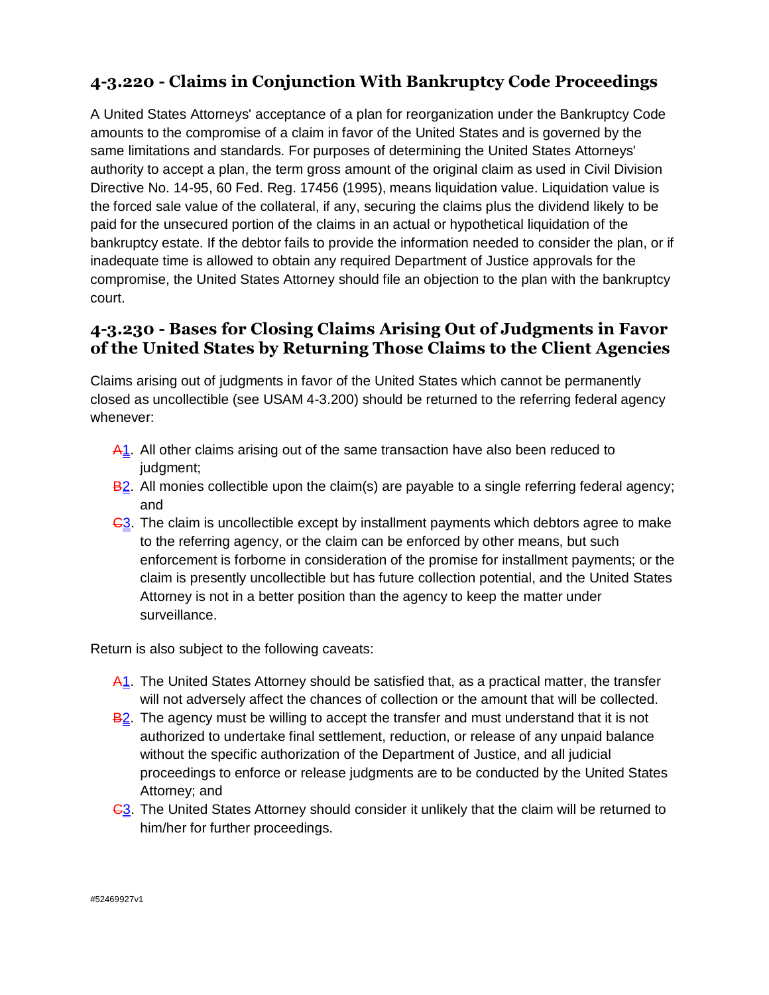# **4-3.220 - Claims in Conjunction With Bankruptcy Code Proceedings**

A United States Attorneys' acceptance of a plan for reorganization under the Bankruptcy Code amounts to the compromise of a claim in favor of the United States and is governed by the same limitations and standards. For purposes of determining the United States Attorneys' authority to accept a plan, the term gross amount of the original claim as used in Civil Division Directive No. 14-95, 60 Fed. Reg. 17456 (1995), means liquidation value. Liquidation value is the forced sale value of the collateral, if any, securing the claims plus the dividend likely to be paid for the unsecured portion of the claims in an actual or hypothetical liquidation of the bankruptcy estate. If the debtor fails to provide the information needed to consider the plan, or if inadequate time is allowed to obtain any required Department of Justice approvals for the compromise, the United States Attorney should file an objection to the plan with the bankruptcy court.

## **4-3.230 - Bases for Closing Claims Arising Out of Judgments in Favor of the United States by Returning Those Claims to the Client Agencies**

Claims arising out of judgments in favor of the United States which cannot be permanently closed as uncollectible (see USAM 4-3.200) should be returned to the referring federal agency whenever:

- A<sub>1</sub>. All other claims arising out of the same transaction have also been reduced to judgment;
- $B2$ . All monies collectible upon the claim(s) are payable to a single referring federal agency; and
- G3. The claim is uncollectible except by installment payments which debtors agree to make to the referring agency, or the claim can be enforced by other means, but such enforcement is forborne in consideration of the promise for installment payments; or the claim is presently uncollectible but has future collection potential, and the United States Attorney is not in a better position than the agency to keep the matter under surveillance.

Return is also subject to the following caveats:

- A<sub>1</sub>. The United States Attorney should be satisfied that, as a practical matter, the transfer will not adversely affect the chances of collection or the amount that will be collected.
- $B<sub>2</sub>$ . The agency must be willing to accept the transfer and must understand that it is not authorized to undertake final settlement, reduction, or release of any unpaid balance without the specific authorization of the Department of Justice, and all judicial proceedings to enforce or release judgments are to be conducted by the United States Attorney; and
- C3. The United States Attorney should consider it unlikely that the claim will be returned to him/her for further proceedings.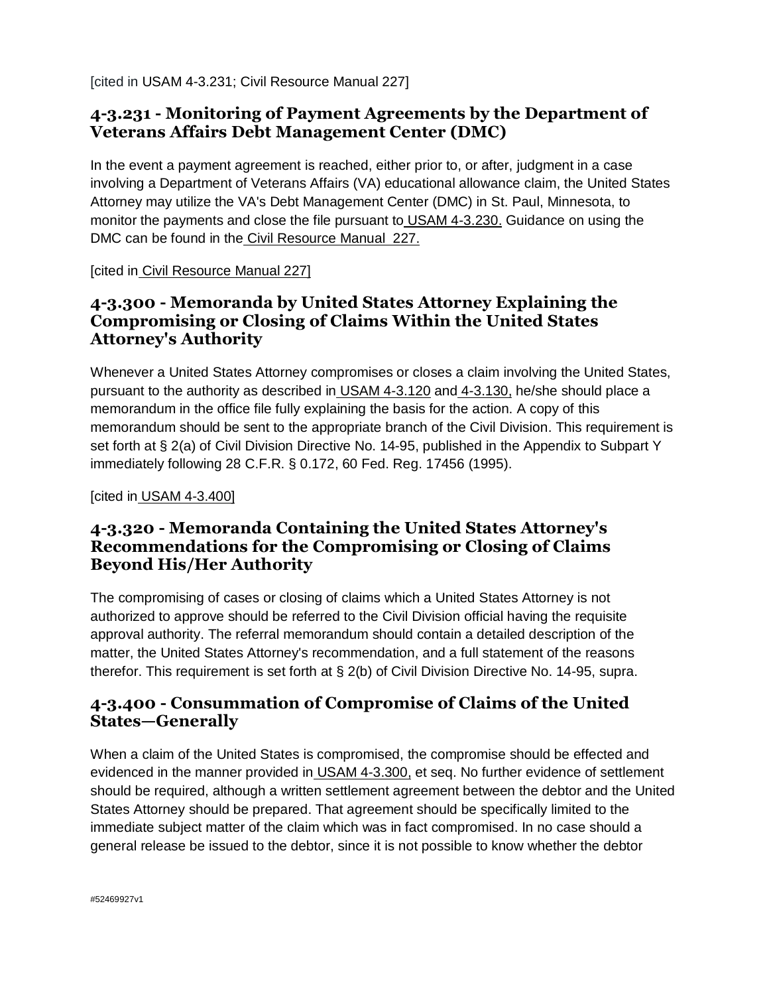## **4-3.231 - Monitoring of Payment Agreements by the Department of Veterans Affairs Debt Management Center (DMC)**

In the event a payment agreement is reached, either prior to, or after, judgment in a case involving a Department of Veterans Affairs (VA) educational allowance claim, the United States Attorney may utilize the VA's Debt Management Center (DMC) in St. Paul, Minnesota, to monitor the payments and close the file pursuant to USAM 4-3.230. Guidance on using the DMC can be found in the Civil Resource Manual 227.

[cited in Civil Resource Manual 227]

## **4-3.300 - Memoranda by United States Attorney Explaining the Compromising or Closing of Claims Within the United States Attorney's Authority**

Whenever a United States Attorney compromises or closes a claim involving the United States, pursuant to the authority as described in USAM 4-3.120 and 4-3.130, he/she should place a memorandum in the office file fully explaining the basis for the action. A copy of this memorandum should be sent to the appropriate branch of the Civil Division. This requirement is set forth at § 2(a) of Civil Division Directive No. 14-95, published in the Appendix to Subpart Y immediately following 28 C.F.R. § 0.172, 60 Fed. Reg. 17456 (1995).

[cited in USAM 4-3.400]

## **4-3.320 - Memoranda Containing the United States Attorney's Recommendations for the Compromising or Closing of Claims Beyond His/Her Authority**

The compromising of cases or closing of claims which a United States Attorney is not authorized to approve should be referred to the Civil Division official having the requisite approval authority. The referral memorandum should contain a detailed description of the matter, the United States Attorney's recommendation, and a full statement of the reasons therefor. This requirement is set forth at § 2(b) of Civil Division Directive No. 14-95, supra.

# **4-3.400 - Consummation of Compromise of Claims of the United States—Generally**

When a claim of the United States is compromised, the compromise should be effected and evidenced in the manner provided in USAM 4-3.300, et seq. No further evidence of settlement should be required, although a written settlement agreement between the debtor and the United States Attorney should be prepared. That agreement should be specifically limited to the immediate subject matter of the claim which was in fact compromised. In no case should a general release be issued to the debtor, since it is not possible to know whether the debtor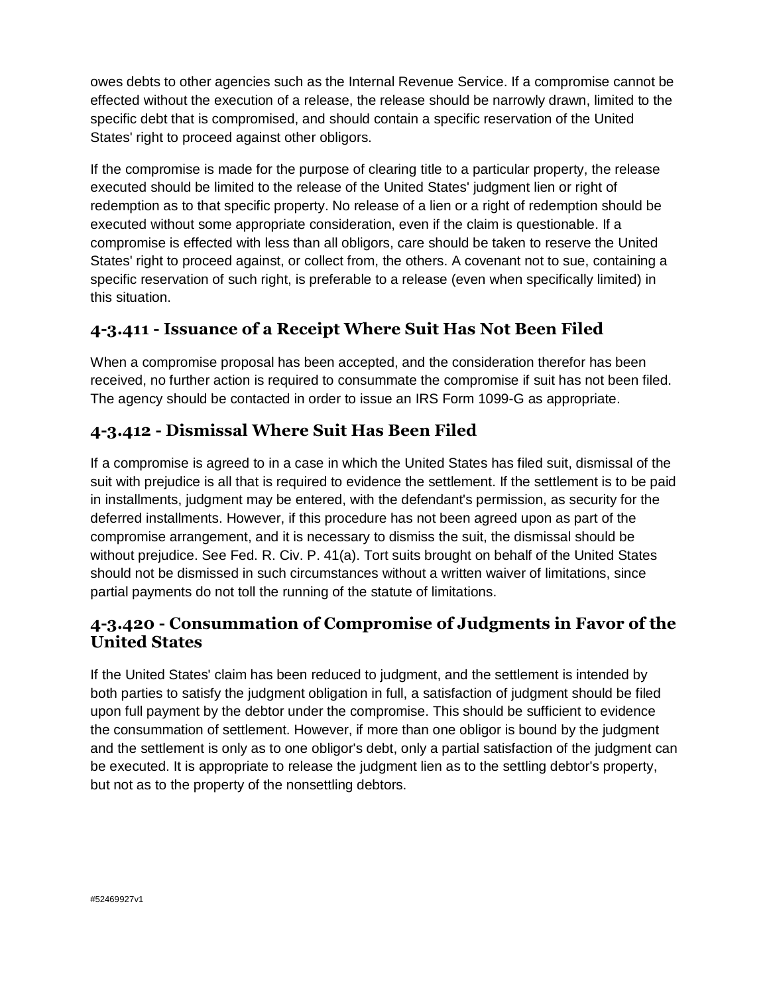owes debts to other agencies such as the Internal Revenue Service. If a compromise cannot be effected without the execution of a release, the release should be narrowly drawn, limited to the specific debt that is compromised, and should contain a specific reservation of the United States' right to proceed against other obligors.

If the compromise is made for the purpose of clearing title to a particular property, the release executed should be limited to the release of the United States' judgment lien or right of redemption as to that specific property. No release of a lien or a right of redemption should be executed without some appropriate consideration, even if the claim is questionable. If a compromise is effected with less than all obligors, care should be taken to reserve the United States' right to proceed against, or collect from, the others. A covenant not to sue, containing a specific reservation of such right, is preferable to a release (even when specifically limited) in this situation.

# **4-3.411 - Issuance of a Receipt Where Suit Has Not Been Filed**

When a compromise proposal has been accepted, and the consideration therefor has been received, no further action is required to consummate the compromise if suit has not been filed. The agency should be contacted in order to issue an IRS Form 1099-G as appropriate.

# **4-3.412 - Dismissal Where Suit Has Been Filed**

If a compromise is agreed to in a case in which the United States has filed suit, dismissal of the suit with prejudice is all that is required to evidence the settlement. If the settlement is to be paid in installments, judgment may be entered, with the defendant's permission, as security for the deferred installments. However, if this procedure has not been agreed upon as part of the compromise arrangement, and it is necessary to dismiss the suit, the dismissal should be without prejudice. See Fed. R. Civ. P. 41(a). Tort suits brought on behalf of the United States should not be dismissed in such circumstances without a written waiver of limitations, since partial payments do not toll the running of the statute of limitations.

# **4-3.420 - Consummation of Compromise of Judgments in Favor of the United States**

If the United States' claim has been reduced to judgment, and the settlement is intended by both parties to satisfy the judgment obligation in full, a satisfaction of judgment should be filed upon full payment by the debtor under the compromise. This should be sufficient to evidence the consummation of settlement. However, if more than one obligor is bound by the judgment and the settlement is only as to one obligor's debt, only a partial satisfaction of the judgment can be executed. It is appropriate to release the judgment lien as to the settling debtor's property, but not as to the property of the nonsettling debtors.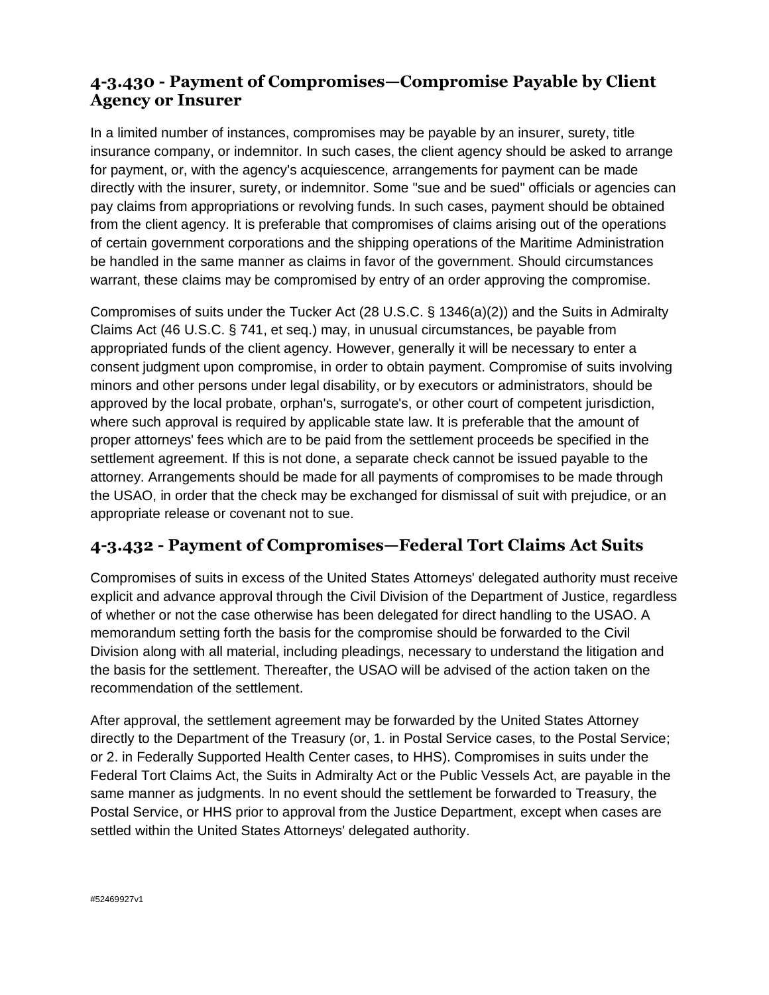# **4-3.430 - Payment of Compromises—Compromise Payable by Client Agency or Insurer**

In a limited number of instances, compromises may be payable by an insurer, surety, title insurance company, or indemnitor. In such cases, the client agency should be asked to arrange for payment, or, with the agency's acquiescence, arrangements for payment can be made directly with the insurer, surety, or indemnitor. Some "sue and be sued" officials or agencies can pay claims from appropriations or revolving funds. In such cases, payment should be obtained from the client agency. It is preferable that compromises of claims arising out of the operations of certain government corporations and the shipping operations of the Maritime Administration be handled in the same manner as claims in favor of the government. Should circumstances warrant, these claims may be compromised by entry of an order approving the compromise.

Compromises of suits under the Tucker Act (28 U.S.C. § 1346(a)(2)) and the Suits in Admiralty Claims Act (46 U.S.C. § 741, et seq.) may, in unusual circumstances, be payable from appropriated funds of the client agency. However, generally it will be necessary to enter a consent judgment upon compromise, in order to obtain payment. Compromise of suits involving minors and other persons under legal disability, or by executors or administrators, should be approved by the local probate, orphan's, surrogate's, or other court of competent jurisdiction, where such approval is required by applicable state law. It is preferable that the amount of proper attorneys' fees which are to be paid from the settlement proceeds be specified in the settlement agreement. If this is not done, a separate check cannot be issued payable to the attorney. Arrangements should be made for all payments of compromises to be made through the USAO, in order that the check may be exchanged for dismissal of suit with prejudice, or an appropriate release or covenant not to sue.

# **4-3.432 - Payment of Compromises—Federal Tort Claims Act Suits**

Compromises of suits in excess of the United States Attorneys' delegated authority must receive explicit and advance approval through the Civil Division of the Department of Justice, regardless of whether or not the case otherwise has been delegated for direct handling to the USAO. A memorandum setting forth the basis for the compromise should be forwarded to the Civil Division along with all material, including pleadings, necessary to understand the litigation and the basis for the settlement. Thereafter, the USAO will be advised of the action taken on the recommendation of the settlement.

After approval, the settlement agreement may be forwarded by the United States Attorney directly to the Department of the Treasury (or, 1. in Postal Service cases, to the Postal Service; or 2. in Federally Supported Health Center cases, to HHS). Compromises in suits under the Federal Tort Claims Act, the Suits in Admiralty Act or the Public Vessels Act, are payable in the same manner as judgments. In no event should the settlement be forwarded to Treasury, the Postal Service, or HHS prior to approval from the Justice Department, except when cases are settled within the United States Attorneys' delegated authority.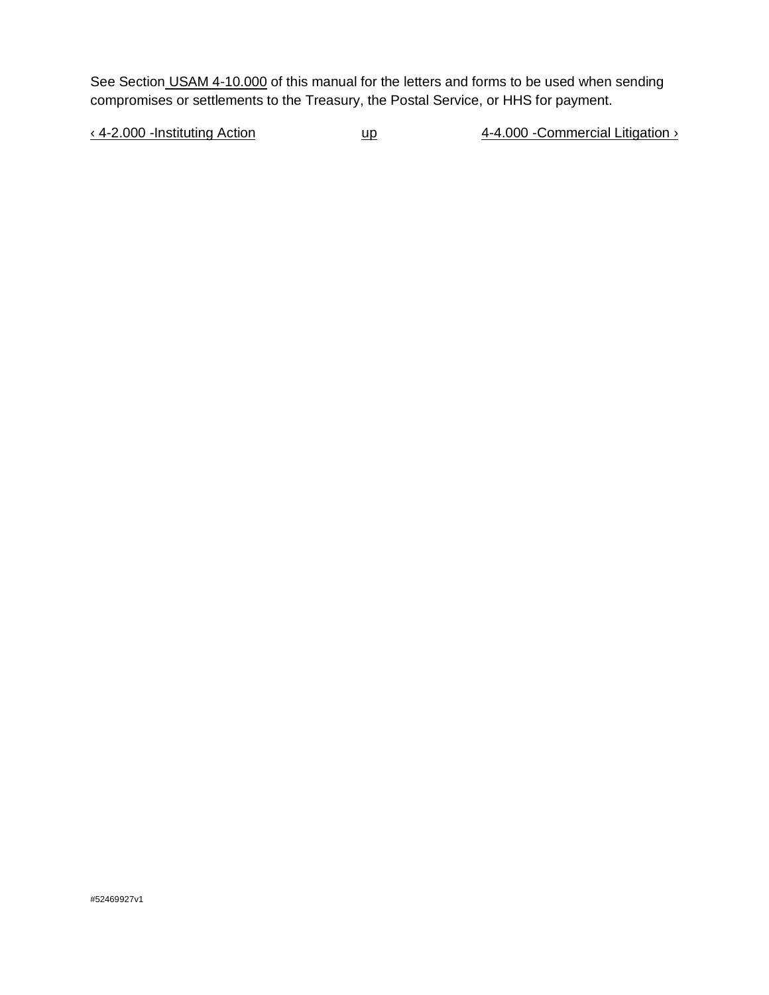See Section USAM 4-10.000 of this manual for the letters and forms to be used when sending compromises or settlements to the Treasury, the Postal Service, or HHS for payment.

‹ 4-2.000 -Instituting Action up 4-4.000 -Commercial Litigation ›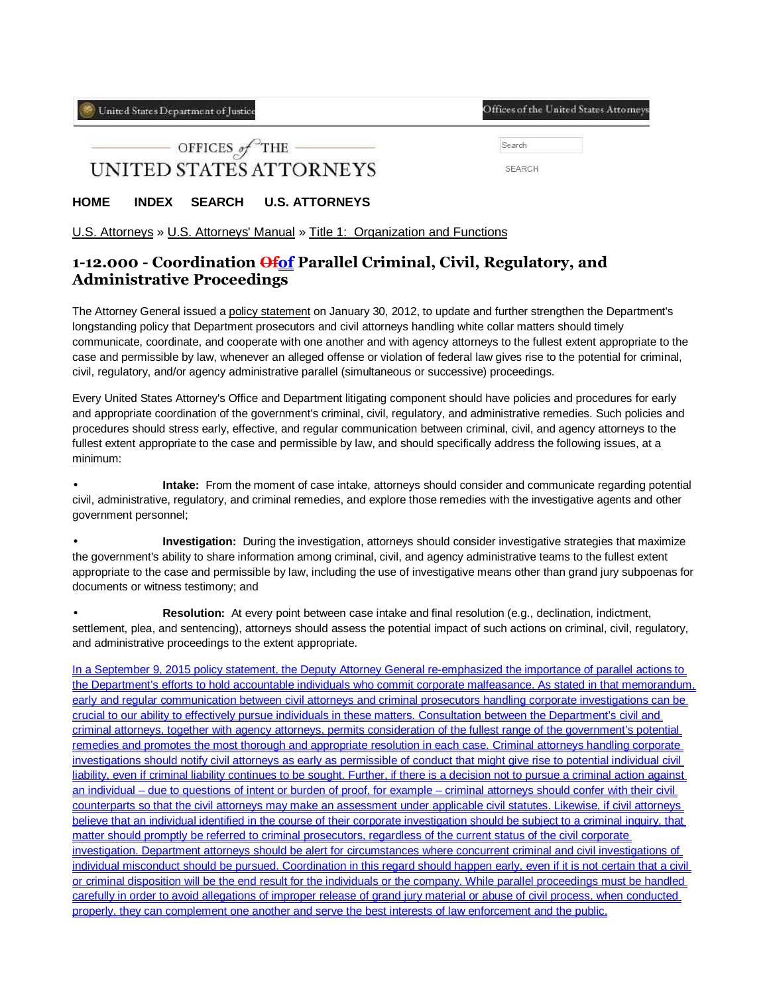<sup>6</sup> United States Department of Justice

|  |  |  |  |  | Offices of the United States Attorneys |
|--|--|--|--|--|----------------------------------------|
|--|--|--|--|--|----------------------------------------|

| OFFICES of THE          |
|-------------------------|
| UNITED STATES ATTORNEYS |

| э. |  |
|----|--|
|    |  |

#### **HOME INDEX SEARCH U.S. ATTORNEYS**

U.S. Attorneys » U.S. Attorneys' Manual » Title 1: Organization and Functions

## **1-12.000 - Coordination Ofof Parallel Criminal, Civil, Regulatory, and Administrative Proceedings**

The Attorney General issued a policy statement on January 30, 2012, to update and further strengthen the Department's longstanding policy that Department prosecutors and civil attorneys handling white collar matters should timely communicate, coordinate, and cooperate with one another and with agency attorneys to the fullest extent appropriate to the case and permissible by law, whenever an alleged offense or violation of federal law gives rise to the potential for criminal, civil, regulatory, and/or agency administrative parallel (simultaneous or successive) proceedings.

Every United States Attorney's Office and Department litigating component should have policies and procedures for early and appropriate coordination of the government's criminal, civil, regulatory, and administrative remedies. Such policies and procedures should stress early, effective, and regular communication between criminal, civil, and agency attorneys to the fullest extent appropriate to the case and permissible by law, and should specifically address the following issues, at a minimum:

• **Intake:** From the moment of case intake, attorneys should consider and communicate regarding potential civil, administrative, regulatory, and criminal remedies, and explore those remedies with the investigative agents and other government personnel;

• **Investigation:** During the investigation, attorneys should consider investigative strategies that maximize the government's ability to share information among criminal, civil, and agency administrative teams to the fullest extent appropriate to the case and permissible by law, including the use of investigative means other than grand jury subpoenas for documents or witness testimony; and

• **Resolution:** At every point between case intake and final resolution (e.g., declination, indictment, settlement, plea, and sentencing), attorneys should assess the potential impact of such actions on criminal, civil, regulatory, and administrative proceedings to the extent appropriate.

In a September 9, 2015 policy statement, the Deputy Attorney General re-emphasized the importance of parallel actions to the Department's efforts to hold accountable individuals who commit corporate malfeasance. As stated in that memorandum, early and regular communication between civil attorneys and criminal prosecutors handling corporate investigations can be crucial to our ability to effectively pursue individuals in these matters. Consultation between the Department's civil and criminal attorneys, together with agency attorneys, permits consideration of the fullest range of the government's potential remedies and promotes the most thorough and appropriate resolution in each case. Criminal attorneys handling corporate investigations should notify civil attorneys as early as permissible of conduct that might give rise to potential individual civil liability, even if criminal liability continues to be sought. Further, if there is a decision not to pursue a criminal action against an individual – due to questions of intent or burden of proof, for example – criminal attorneys should confer with their civil counterparts so that the civil attorneys may make an assessment under applicable civil statutes. Likewise, if civil attorneys believe that an individual identified in the course of their corporate investigation should be subject to a criminal inquiry, that matter should promptly be referred to criminal prosecutors, regardless of the current status of the civil corporate investigation. Department attorneys should be alert for circumstances where concurrent criminal and civil investigations of individual misconduct should be pursued. Coordination in this regard should happen early, even if it is not certain that a civil or criminal disposition will be the end result for the individuals or the company. While parallel proceedings must be handled carefully in order to avoid allegations of improper release of grand jury material or abuse of civil process, when conducted properly, they can complement one another and serve the best interests of law enforcement and the public.